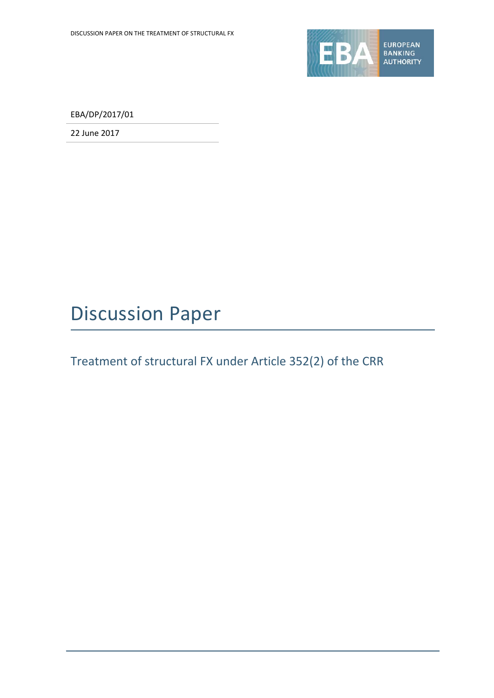

EBA/DP/2017/01

22 June 2017

# Discussion Paper

# Treatment of structural FX under Article 352(2) of the CRR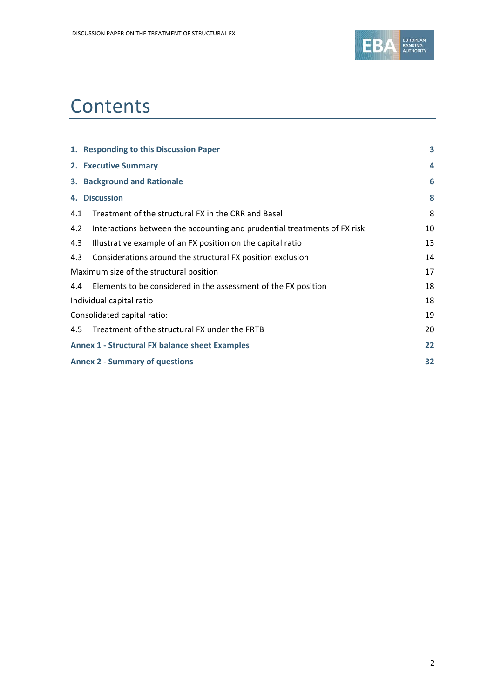

# **Contents**

|     | 1. Responding to this Discussion Paper                                   | 3  |
|-----|--------------------------------------------------------------------------|----|
|     | 2. Executive Summary                                                     | 4  |
|     | 3. Background and Rationale                                              | 6  |
|     | 4. Discussion                                                            | 8  |
| 4.1 | Treatment of the structural FX in the CRR and Basel                      | 8  |
| 4.2 | Interactions between the accounting and prudential treatments of FX risk | 10 |
| 4.3 | Illustrative example of an FX position on the capital ratio              | 13 |
| 4.3 | Considerations around the structural FX position exclusion               | 14 |
|     | Maximum size of the structural position                                  | 17 |
| 4.4 | Elements to be considered in the assessment of the FX position           | 18 |
|     | Individual capital ratio                                                 | 18 |
|     | Consolidated capital ratio:                                              | 19 |
|     | 4.5 Treatment of the structural FX under the FRTB                        | 20 |
|     | <b>Annex 1 - Structural FX balance sheet Examples</b>                    | 22 |
|     | <b>Annex 2 - Summary of questions</b>                                    | 32 |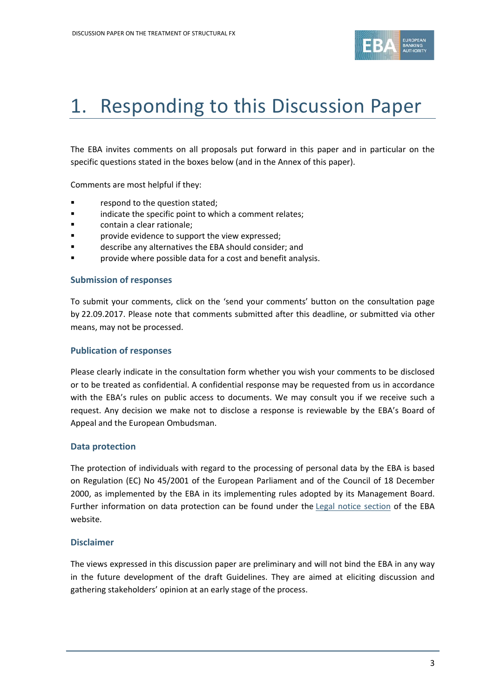

# 1. Responding to this Discussion Paper

The EBA invites comments on all proposals put forward in this paper and in particular on the specific questions stated in the boxes below (and in the Annex of this paper).

Comments are most helpful if they:

- respond to the question stated;
- **Example 3** indicate the specific point to which a comment relates;
- **Example:** contain a clear rationale;
- **F** provide evidence to support the view expressed;
- describe any alternatives the EBA should consider; and
- provide where possible data for a cost and benefit analysis.

#### **Submission of responses**

To submit your comments, click on the 'send your comments' button on the consultation page by 22.09.2017. Please note that comments submitted after this deadline, or submitted via other means, may not be processed.

#### **Publication of responses**

Please clearly indicate in the consultation form whether you wish your comments to be disclosed or to be treated as confidential. A confidential response may be requested from us in accordance with the EBA's rules on public access to documents. We may consult you if we receive such a request. Any decision we make not to disclose a response is reviewable by the EBA's Board of Appeal and the European Ombudsman.

#### **Data protection**

The protection of individuals with regard to the processing of personal data by the EBA is based on Regulation (EC) No 45/2001 of the European Parliament and of the Council of 18 December 2000, as implemented by the EBA in its implementing rules adopted by its Management Board. Further information on data protection can be found under the [Legal notice section](http://eba.europa.eu/legal-notice) of the EBA website.

### **Disclaimer**

The views expressed in this discussion paper are preliminary and will not bind the EBA in any way in the future development of the draft Guidelines. They are aimed at eliciting discussion and gathering stakeholders' opinion at an early stage of the process.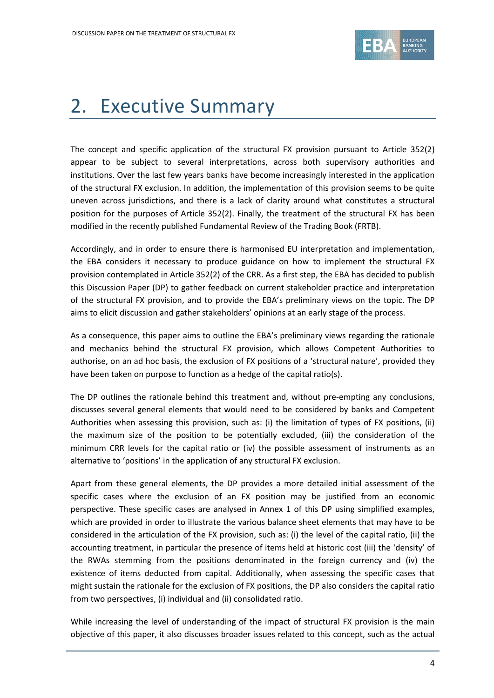

# 2. Executive Summary

The concept and specific application of the structural FX provision pursuant to Article 352(2) appear to be subject to several interpretations, across both supervisory authorities and institutions. Over the last few years banks have become increasingly interested in the application of the structural FX exclusion. In addition, the implementation of this provision seems to be quite uneven across jurisdictions, and there is a lack of clarity around what constitutes a structural position for the purposes of Article 352(2). Finally, the treatment of the structural FX has been modified in the recently published Fundamental Review of the Trading Book (FRTB).

Accordingly, and in order to ensure there is harmonised EU interpretation and implementation, the EBA considers it necessary to produce guidance on how to implement the structural FX provision contemplated in Article 352(2) of the CRR. As a first step, the EBA has decided to publish this Discussion Paper (DP) to gather feedback on current stakeholder practice and interpretation of the structural FX provision, and to provide the EBA's preliminary views on the topic. The DP aims to elicit discussion and gather stakeholders' opinions at an early stage of the process.

As a consequence, this paper aims to outline the EBA's preliminary views regarding the rationale and mechanics behind the structural FX provision, which allows Competent Authorities to authorise, on an ad hoc basis, the exclusion of FX positions of a 'structural nature', provided they have been taken on purpose to function as a hedge of the capital ratio(s).

The DP outlines the rationale behind this treatment and, without pre-empting any conclusions, discusses several general elements that would need to be considered by banks and Competent Authorities when assessing this provision, such as: (i) the limitation of types of FX positions, (ii) the maximum size of the position to be potentially excluded, (iii) the consideration of the minimum CRR levels for the capital ratio or (iv) the possible assessment of instruments as an alternative to 'positions' in the application of any structural FX exclusion.

Apart from these general elements, the DP provides a more detailed initial assessment of the specific cases where the exclusion of an FX position may be justified from an economic perspective. These specific cases are analysed in Annex 1 of this DP using simplified examples, which are provided in order to illustrate the various balance sheet elements that may have to be considered in the articulation of the FX provision, such as: (i) the level of the capital ratio, (ii) the accounting treatment, in particular the presence of items held at historic cost (iii) the 'density' of the RWAs stemming from the positions denominated in the foreign currency and (iv) the existence of items deducted from capital. Additionally, when assessing the specific cases that might sustain the rationale for the exclusion of FX positions, the DP also considers the capital ratio from two perspectives, (i) individual and (ii) consolidated ratio.

While increasing the level of understanding of the impact of structural FX provision is the main objective of this paper, it also discusses broader issues related to this concept, such as the actual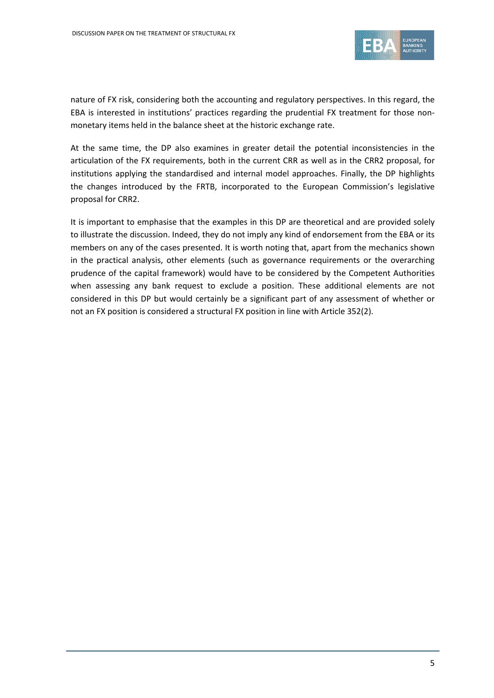

nature of FX risk, considering both the accounting and regulatory perspectives. In this regard, the EBA is interested in institutions' practices regarding the prudential FX treatment for those nonmonetary items held in the balance sheet at the historic exchange rate.

At the same time, the DP also examines in greater detail the potential inconsistencies in the articulation of the FX requirements, both in the current CRR as well as in the CRR2 proposal, for institutions applying the standardised and internal model approaches. Finally, the DP highlights the changes introduced by the FRTB, incorporated to the European Commission's legislative proposal for CRR2.

It is important to emphasise that the examples in this DP are theoretical and are provided solely to illustrate the discussion. Indeed, they do not imply any kind of endorsement from the EBA or its members on any of the cases presented. It is worth noting that, apart from the mechanics shown in the practical analysis, other elements (such as governance requirements or the overarching prudence of the capital framework) would have to be considered by the Competent Authorities when assessing any bank request to exclude a position. These additional elements are not considered in this DP but would certainly be a significant part of any assessment of whether or not an FX position is considered a structural FX position in line with Article 352(2).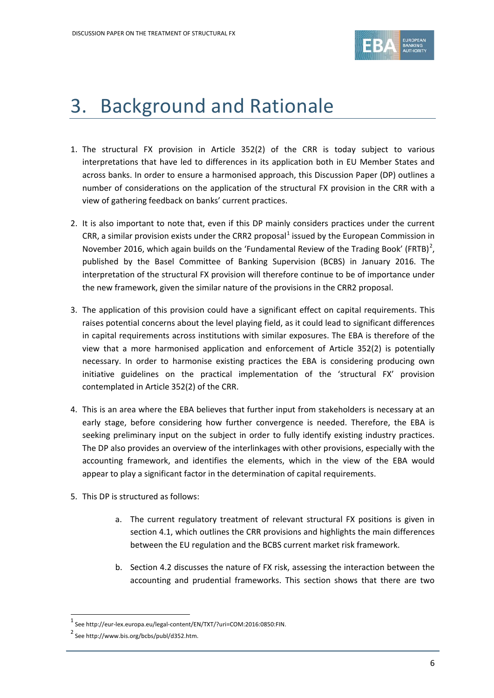

# 3. Background and Rationale

- 1. The structural FX provision in Article 352(2) of the CRR is today subject to various interpretations that have led to differences in its application both in EU Member States and across banks. In order to ensure a harmonised approach, this Discussion Paper (DP) outlines a number of considerations on the application of the structural FX provision in the CRR with a view of gathering feedback on banks' current practices.
- 2. It is also important to note that, even if this DP mainly considers practices under the current CRR, a similar provision exists under the CRR2 proposal<sup>[1](#page-5-0)</sup> issued by the European Commission in November [2](#page-5-1)016, which again builds on the 'Fundamental Review of the Trading Book' (FRTB)<sup>2</sup>, published by the Basel Committee of Banking Supervision (BCBS) in January 2016. The interpretation of the structural FX provision will therefore continue to be of importance under the new framework, given the similar nature of the provisions in the CRR2 proposal.
- 3. The application of this provision could have a significant effect on capital requirements. This raises potential concerns about the level playing field, as it could lead to significant differences in capital requirements across institutions with similar exposures. The EBA is therefore of the view that a more harmonised application and enforcement of Article 352(2) is potentially necessary. In order to harmonise existing practices the EBA is considering producing own initiative guidelines on the practical implementation of the 'structural FX' provision contemplated in Article 352(2) of the CRR.
- 4. This is an area where the EBA believes that further input from stakeholders is necessary at an early stage, before considering how further convergence is needed. Therefore, the EBA is seeking preliminary input on the subject in order to fully identify existing industry practices. The DP also provides an overview of the interlinkages with other provisions, especially with the accounting framework, and identifies the elements, which in the view of the EBA would appear to play a significant factor in the determination of capital requirements.
- 5. This DP is structured as follows:
	- a. The current regulatory treatment of relevant structural FX positions is given in section 4.1, which outlines the CRR provisions and highlights the main differences between the EU regulation and the BCBS current market risk framework.
	- b. Section 4.2 discusses the nature of FX risk, assessing the interaction between the accounting and prudential frameworks. This section shows that there are two

l

<sup>1</sup> See http://eur-lex.europa.eu/legal-content/EN/TXT/?uri=COM:2016:0850:FIN.

<span id="page-5-1"></span><span id="page-5-0"></span><sup>&</sup>lt;sup>2</sup> See http://www.bis.org/bcbs/publ/d352.htm.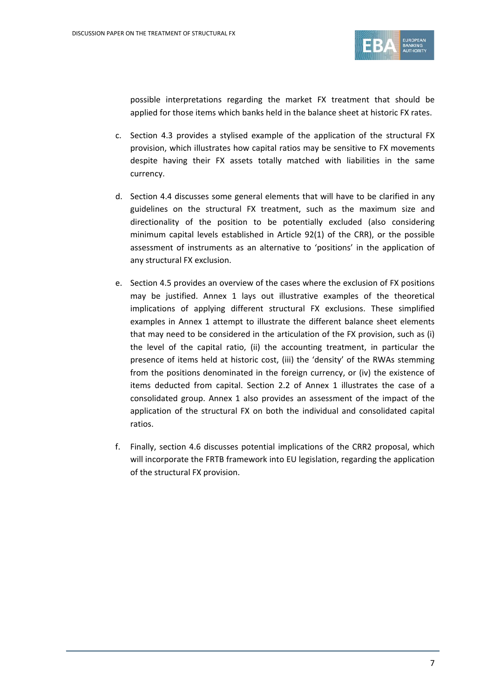

possible interpretations regarding the market FX treatment that should be applied for those items which banks held in the balance sheet at historic FX rates.

- c. Section 4.3 provides a stylised example of the application of the structural FX provision, which illustrates how capital ratios may be sensitive to FX movements despite having their FX assets totally matched with liabilities in the same currency.
- d. Section 4.4 discusses some general elements that will have to be clarified in any guidelines on the structural FX treatment, such as the maximum size and directionality of the position to be potentially excluded (also considering minimum capital levels established in Article 92(1) of the CRR), or the possible assessment of instruments as an alternative to 'positions' in the application of any structural FX exclusion.
- e. Section 4.5 provides an overview of the cases where the exclusion of FX positions may be justified. Annex 1 lays out illustrative examples of the theoretical implications of applying different structural FX exclusions. These simplified examples in Annex 1 attempt to illustrate the different balance sheet elements that may need to be considered in the articulation of the FX provision, such as (i) the level of the capital ratio, (ii) the accounting treatment, in particular the presence of items held at historic cost, (iii) the 'density' of the RWAs stemming from the positions denominated in the foreign currency, or (iv) the existence of items deducted from capital. Section 2.2 of Annex 1 illustrates the case of a consolidated group. Annex 1 also provides an assessment of the impact of the application of the structural FX on both the individual and consolidated capital ratios.
- f. Finally, section 4.6 discusses potential implications of the CRR2 proposal, which will incorporate the FRTB framework into EU legislation, regarding the application of the structural FX provision.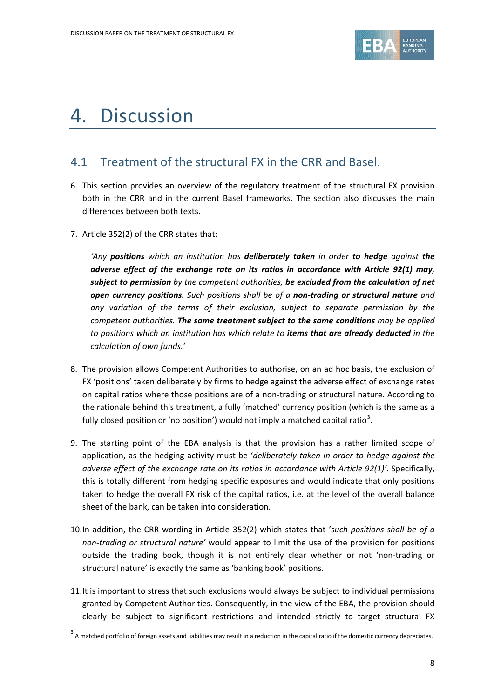

# 4. Discussion

## 4.1 Treatment of the structural FX in the CRR and Basel.

- 6. This section provides an overview of the regulatory treatment of the structural FX provision both in the CRR and in the current Basel frameworks. The section also discusses the main differences between both texts.
- 7. Article 352(2) of the CRR states that:

*'Any positions which an institution has deliberately taken in order to hedge against the adverse effect of the exchange rate on its ratios in accordance with Article 92(1) may, subject to permission by the competent authorities, be excluded from the calculation of net open currency positions. Such positions shall be of a non-trading or structural nature and any variation of the terms of their exclusion, subject to separate permission by the competent authorities. The same treatment subject to the same conditions may be applied to positions which an institution has which relate to items that are already deducted in the calculation of own funds.'*

- 8. The provision allows Competent Authorities to authorise, on an ad hoc basis, the exclusion of FX 'positions' taken deliberately by firms to hedge against the adverse effect of exchange rates on capital ratios where those positions are of a non-trading or structural nature. According to the rationale behind this treatment, a fully 'matched' currency position (which is the same as a fully closed position or 'no position') would not imply a matched capital ratio<sup>[3](#page-7-0)</sup>.
- 9. The starting point of the EBA analysis is that the provision has a rather limited scope of application, as the hedging activity must be '*deliberately taken in order to hedge against the adverse effect of the exchange rate on its ratios in accordance with Article 92(1)'*. Specifically, this is totally different from hedging specific exposures and would indicate that only positions taken to hedge the overall FX risk of the capital ratios, i.e. at the level of the overall balance sheet of the bank, can be taken into consideration.
- 10.In addition, the CRR wording in Article 352(2) which states that 's*uch positions shall be of a non-trading or structural nature'* would appear to limit the use of the provision for positions outside the trading book, though it is not entirely clear whether or not 'non-trading or structural nature' is exactly the same as 'banking book' positions.
- 11.It is important to stress that such exclusions would always be subject to individual permissions granted by Competent Authorities. Consequently, in the view of the EBA, the provision should clearly be subject to significant restrictions and intended strictly to target structural FX

<span id="page-7-0"></span> $3$  A matched portfolio of foreign assets and liabilities may result in a reduction in the capital ratio if the domestic currency depreciates.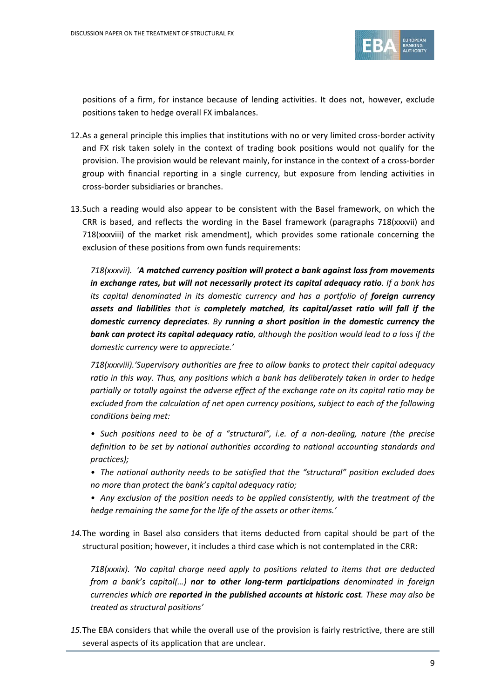

positions of a firm, for instance because of lending activities. It does not, however, exclude positions taken to hedge overall FX imbalances.

- 12.As a general principle this implies that institutions with no or very limited cross-border activity and FX risk taken solely in the context of trading book positions would not qualify for the provision. The provision would be relevant mainly, for instance in the context of a cross-border group with financial reporting in a single currency, but exposure from lending activities in cross-border subsidiaries or branches.
- 13.Such a reading would also appear to be consistent with the Basel framework, on which the CRR is based, and reflects the wording in the Basel framework (paragraphs 718(xxxvii) and 718(xxxviii) of the market risk amendment), which provides some rationale concerning the exclusion of these positions from own funds requirements:

*718(xxxvii). 'A matched currency position will protect a bank against loss from movements in exchange rates, but will not necessarily protect its capital adequacy ratio. If a bank has*  its capital denominated in its domestic currency and has a portfolio of **foreign currency** *assets and liabilities that is completely matched, its capital/asset ratio will fall if the domestic currency depreciates. By running a short position in the domestic currency the bank can protect its capital adequacy ratio, although the position would lead to a loss if the domestic currency were to appreciate.'*

*718(xxxviii).'Supervisory authorities are free to allow banks to protect their capital adequacy ratio in this way. Thus, any positions which a bank has deliberately taken in order to hedge partially or totally against the adverse effect of the exchange rate on its capital ratio may be excluded from the calculation of net open currency positions, subject to each of the following conditions being met:*

- *• Such positions need to be of a "structural", i.e. of a non-dealing, nature (the precise*  definition to be set by national authorities according to national accounting standards and *practices);*
- *• The national authority needs to be satisfied that the "structural" position excluded does no more than protect the bank's capital adequacy ratio;*
- *• Any exclusion of the position needs to be applied consistently, with the treatment of the hedge remaining the same for the life of the assets or other items.'*
- *14.*The wording in Basel also considers that items deducted from capital should be part of the structural position; however, it includes a third case which is not contemplated in the CRR:

*718(xxxix). 'No capital charge need apply to positions related to items that are deducted from a bank's capital(…) nor to other long-term participations denominated in foreign currencies which are reported in the published accounts at historic cost. These may also be treated as structural positions'*

*15.*The EBA considers that while the overall use of the provision is fairly restrictive, there are still several aspects of its application that are unclear.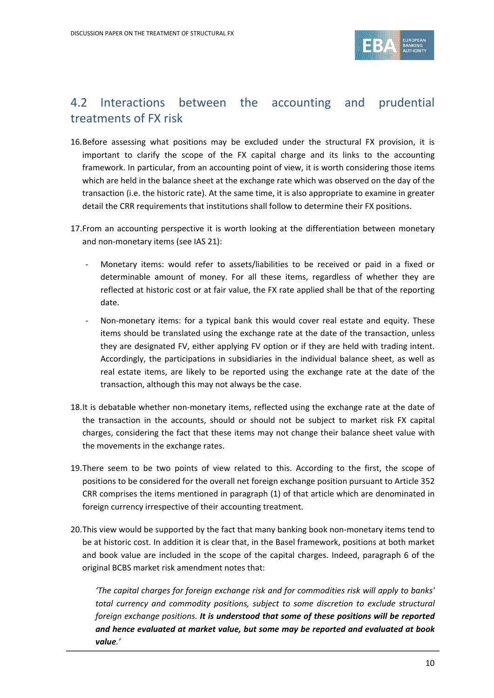

# 4.2 Interactions between the accounting and prudential treatments of FX risk

- 16.Before assessing what positions may be excluded under the structural FX provision, it is important to clarify the scope of the FX capital charge and its links to the accounting framework. In particular, from an accounting point of view, it is worth considering those items which are held in the balance sheet at the exchange rate which was observed on the day of the transaction (i.e. the historic rate). At the same time, it is also appropriate to examine in greater detail the CRR requirements that institutions shall follow to determine their FX positions.
- 17.From an accounting perspective it is worth looking at the differentiation between monetary and non-monetary items (see IAS 21):
	- Monetary items: would refer to assets/liabilities to be received or paid in a fixed or determinable amount of money. For all these items, regardless of whether they are reflected at historic cost or at fair value, the FX rate applied shall be that of the reporting date.
	- Non-monetary items: for a typical bank this would cover real estate and equity. These items should be translated using the exchange rate at the date of the transaction, unless they are designated FV, either applying FV option or if they are held with trading intent. Accordingly, the participations in subsidiaries in the individual balance sheet, as well as real estate items, are likely to be reported using the exchange rate at the date of the transaction, although this may not always be the case.
- 18.It is debatable whether non-monetary items, reflected using the exchange rate at the date of the transaction in the accounts, should or should not be subject to market risk FX capital charges, considering the fact that these items may not change their balance sheet value with the movements in the exchange rates.
- 19.There seem to be two points of view related to this. According to the first, the scope of positions to be considered for the overall net foreign exchange position pursuant to Article 352 CRR comprises the items mentioned in paragraph (1) of that article which are denominated in foreign currency irrespective of their accounting treatment.
- 20.This view would be supported by the fact that many banking book non-monetary items tend to be at historic cost. In addition it is clear that, in the Basel framework, positions at both market and book value are included in the scope of the capital charges. Indeed, paragraph 6 of the original BCBS market risk amendment notes that:

*'The capital charges for foreign exchange risk and for commodities risk will apply to banks' total currency and commodity positions, subject to some discretion to exclude structural foreign exchange positions. It is understood that some of these positions will be reported and hence evaluated at market value, but some may be reported and evaluated at book value.'*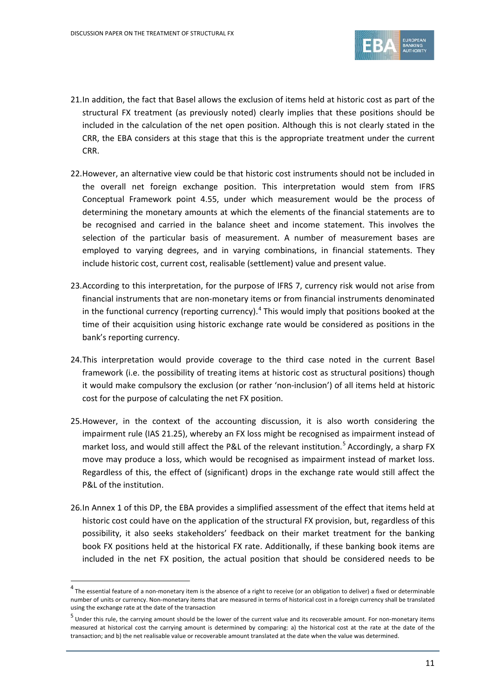

- 21.In addition, the fact that Basel allows the exclusion of items held at historic cost as part of the structural FX treatment (as previously noted) clearly implies that these positions should be included in the calculation of the net open position. Although this is not clearly stated in the CRR, the EBA considers at this stage that this is the appropriate treatment under the current CRR.
- 22.However, an alternative view could be that historic cost instruments should not be included in the overall net foreign exchange position. This interpretation would stem from IFRS Conceptual Framework point 4.55, under which measurement would be the process of determining the monetary amounts at which the elements of the financial statements are to be recognised and carried in the balance sheet and income statement. This involves the selection of the particular basis of measurement. A number of measurement bases are employed to varying degrees, and in varying combinations, in financial statements. They include historic cost, current cost, realisable (settlement) value and present value.
- 23.According to this interpretation, for the purpose of IFRS 7, currency risk would not arise from financial instruments that are non-monetary items or from financial instruments denominated in the functional currency (reporting currency).<sup>[4](#page-10-0)</sup> This would imply that positions booked at the time of their acquisition using historic exchange rate would be considered as positions in the bank's reporting currency.
- 24.This interpretation would provide coverage to the third case noted in the current Basel framework (i.e. the possibility of treating items at historic cost as structural positions) though it would make compulsory the exclusion (or rather 'non-inclusion') of all items held at historic cost for the purpose of calculating the net FX position.
- 25.However, in the context of the accounting discussion, it is also worth considering the impairment rule (IAS 21.25), whereby an FX loss might be recognised as impairment instead of market loss, and would still affect the P&L of the relevant institution.<sup>[5](#page-10-1)</sup> Accordingly, a sharp FX move may produce a loss, which would be recognised as impairment instead of market loss. Regardless of this, the effect of (significant) drops in the exchange rate would still affect the P&L of the institution.
- 26.In Annex 1 of this DP, the EBA provides a simplified assessment of the effect that items held at historic cost could have on the application of the structural FX provision, but, regardless of this possibility, it also seeks stakeholders' feedback on their market treatment for the banking book FX positions held at the historical FX rate. Additionally, if these banking book items are included in the net FX position, the actual position that should be considered needs to be

<span id="page-10-0"></span> $4$  The essential feature of a non-monetary item is the absence of a right to receive (or an obligation to deliver) a fixed or determinable number of units or currency. Non-monetary items that are measured in terms of historical cost in a foreign currency shall be translated using the exchange rate at the date of the transaction

<span id="page-10-1"></span> $<sup>5</sup>$  Under this rule, the carrying amount should be the lower of the current value and its recoverable amount. For non-monetary items</sup> measured at historical cost the carrying amount is determined by comparing: a) the historical cost at the rate at the date of the transaction; and b) the net realisable value or recoverable amount translated at the date when the value was determined.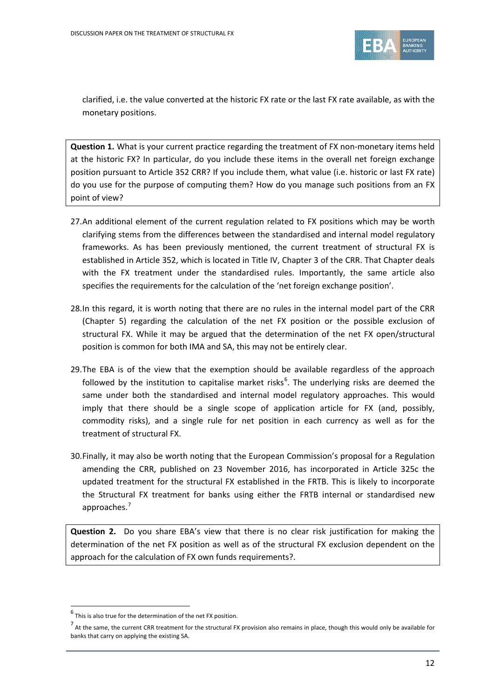

clarified, i.e. the value converted at the historic FX rate or the last FX rate available, as with the monetary positions.

**Question 1.** What is your current practice regarding the treatment of FX non-monetary items held at the historic FX? In particular, do you include these items in the overall net foreign exchange position pursuant to Article 352 CRR? If you include them, what value (i.e. historic or last FX rate) do you use for the purpose of computing them? How do you manage such positions from an FX point of view?

- 27.An additional element of the current regulation related to FX positions which may be worth clarifying stems from the differences between the standardised and internal model regulatory frameworks. As has been previously mentioned, the current treatment of structural FX is established in Article 352, which is located in Title IV, Chapter 3 of the CRR. That Chapter deals with the FX treatment under the standardised rules. Importantly, the same article also specifies the requirements for the calculation of the 'net foreign exchange position'.
- 28.In this regard, it is worth noting that there are no rules in the internal model part of the CRR (Chapter 5) regarding the calculation of the net FX position or the possible exclusion of structural FX. While it may be argued that the determination of the net FX open/structural position is common for both IMA and SA, this may not be entirely clear.
- 29.The EBA is of the view that the exemption should be available regardless of the approach followed by the institution to capitalise market risks<sup>[6](#page-11-0)</sup>. The underlying risks are deemed the same under both the standardised and internal model regulatory approaches. This would imply that there should be a single scope of application article for FX (and, possibly, commodity risks), and a single rule for net position in each currency as well as for the treatment of structural FX.
- 30.Finally, it may also be worth noting that the European Commission's proposal for a Regulation amending the CRR, published on 23 November 2016, has incorporated in Article 325c the updated treatment for the structural FX established in the FRTB. This is likely to incorporate the Structural FX treatment for banks using either the FRTB internal or standardised new approaches.<sup>[7](#page-11-1)</sup>

**Question 2.** Do you share EBA's view that there is no clear risk justification for making the determination of the net FX position as well as of the structural FX exclusion dependent on the approach for the calculation of FX own funds requirements?.

<span id="page-11-0"></span> $^6$  This is also true for the determination of the net FX position.

<span id="page-11-1"></span> $^7$  At the same, the current CRR treatment for the structural FX provision also remains in place, though this would only be available for banks that carry on applying the existing SA.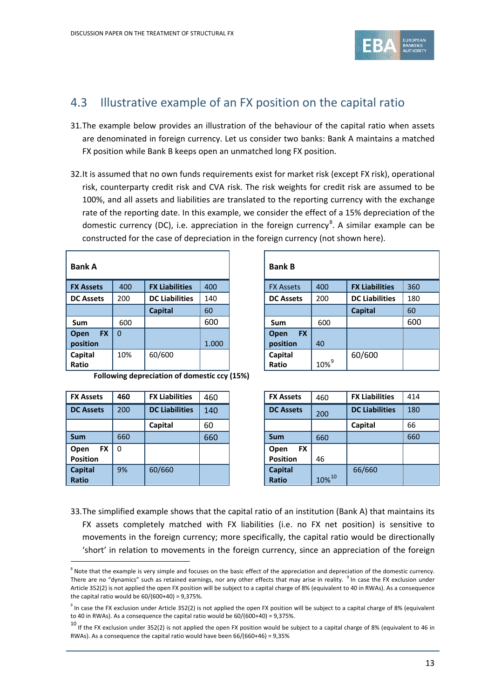

## 4.3 Illustrative example of an FX position on the capital ratio

- 31.The example below provides an illustration of the behaviour of the capital ratio when assets are denominated in foreign currency. Let us consider two banks: Bank A maintains a matched FX position while Bank B keeps open an unmatched long FX position.
- 32.It is assumed that no own funds requirements exist for market risk (except FX risk), operational risk, counterparty credit risk and CVA risk. The risk weights for credit risk are assumed to be 100%, and all assets and liabilities are translated to the reporting currency with the exchange rate of the reporting date. In this example, we consider the effect of a 15% depreciation of the domestic currency (DC), i.e. appreciation in the foreign currency<sup>[8](#page-12-0)</sup>. A similar example can be constructed for the case of depreciation in the foreign currency (not shown here).

| <b>Bank A</b>     |          |                       |       | <b>Bank B</b>     |            |                       |     |
|-------------------|----------|-----------------------|-------|-------------------|------------|-----------------------|-----|
| <b>FX Assets</b>  | 400      | <b>FX Liabilities</b> | 400   | <b>FX Assets</b>  | 400        | <b>FX Liabilities</b> | 360 |
| <b>DC Assets</b>  | 200      | <b>DC Liabilities</b> | 140   | <b>DC Assets</b>  | 200        | <b>DC Liabilities</b> | 180 |
|                   |          | <b>Capital</b>        | 60    |                   |            | <b>Capital</b>        | 60  |
| <b>Sum</b>        | 600      |                       | 600   | Sum               | 600        |                       | 600 |
| <b>FX</b><br>Open | $\Omega$ |                       |       | <b>FX</b><br>Open |            |                       |     |
| position          |          |                       | 1.000 | position          | 40         |                       |     |
| Capital           | 10%      | 60/600                |       | Capital           |            | 60/600                |     |
| Ratio             |          |                       |       | Ratio             | $10\%^{9}$ |                       |     |

|                       |       | <b>Bank B</b>            |                  |                       |     |
|-----------------------|-------|--------------------------|------------------|-----------------------|-----|
| <b>FX Liabilities</b> | 400   | <b>FX Assets</b>         | 400              | <b>FX Liabilities</b> | 360 |
| <b>DC Liabilities</b> | 140   | <b>DC Assets</b>         | 200              | <b>DC Liabilities</b> | 180 |
| <b>Capital</b>        | 60    |                          |                  | <b>Capital</b>        | 60  |
|                       | 600   | Sum                      | 600              |                       | 600 |
|                       |       | <b>FX</b><br><b>Open</b> |                  |                       |     |
|                       | 1.000 | position                 | 40               |                       |     |
| 60/600                |       | Capital                  |                  | 60/600                |     |
|                       |       | Ratio                    | 10% <sup>9</sup> |                       |     |

**Following depreciation of domestic ccy (15%)**

| <b>FX Assets</b>  | 460      | <b>FX Liabilities</b> | 460 |                | <b>FX Assets</b> | 460         | <b>FX Liabilities</b> |
|-------------------|----------|-----------------------|-----|----------------|------------------|-------------|-----------------------|
| <b>DC Assets</b>  | 200      | <b>DC Liabilities</b> | 140 |                | <b>DC Assets</b> | 200         | <b>DC Liabilities</b> |
|                   |          | Capital               | 60  |                |                  |             | Capital               |
| <b>Sum</b>        | 660      |                       | 660 | <b>Sum</b>     |                  | 660         |                       |
| <b>FX</b><br>Open | $\Omega$ |                       |     | Open           | <b>FX</b>        |             |                       |
| <b>Position</b>   |          |                       |     |                | <b>Position</b>  | 46          |                       |
| Capital           | 9%       | 60/660                |     | <b>Capital</b> |                  |             | 66/660                |
| Ratio             |          |                       |     | <b>Ratio</b>   |                  | $10\%^{10}$ |                       |

 $\overline{a}$ 

| <b>FX Liabilities</b> | 460 | <b>FX Assets</b>  | 460   | <b>FX Liabilities</b> | 414 |
|-----------------------|-----|-------------------|-------|-----------------------|-----|
| <b>DC Liabilities</b> | 140 | <b>DC Assets</b>  | 200   | <b>DC Liabilities</b> | 180 |
| Capital               | 60  |                   |       | Capital               | 66  |
|                       | 660 | <b>Sum</b>        | 660   |                       | 660 |
|                       |     | <b>FX</b><br>Open |       |                       |     |
|                       |     | <b>Position</b>   | 46    |                       |     |
| 60/660                |     | <b>Capital</b>    |       | 66/660                |     |
|                       |     | <b>Ratio</b>      | 10%10 |                       |     |

33.The simplified example shows that the capital ratio of an institution (Bank A) that maintains its FX assets completely matched with FX liabilities (i.e. no FX net position) is sensitive to movements in the foreign currency; more specifically, the capital ratio would be directionally 'short' in relation to movements in the foreign currency, since an appreciation of the foreign

<span id="page-12-0"></span> $8$  Note that the example is very simple and focuses on the basic effect of the appreciation and depreciation of the domestic currency. There are no "dynamics" such as retained earnings, nor any other effects that may arise in reality. <sup>9</sup> In case the FX exclusion under Article 352(2) is not applied the open FX position will be subject to a capital charge of 8% (equivalent to 40 in RWAs). As a consequence the capital ratio would be  $60/(600+40) = 9.375\%$ .

<span id="page-12-1"></span> $9$  In case the FX exclusion under Article 352(2) is not applied the open FX position will be subject to a capital charge of 8% (equivalent to 40 in RWAs). As a consequence the capital ratio would be 60/(600+40) = 9,375%.

<span id="page-12-2"></span> $10$  If the FX exclusion under 352(2) is not applied the open FX position would be subject to a capital charge of 8% (equivalent to 46 in RWAs). As a consequence the capital ratio would have been 66/(660+46) = 9,35%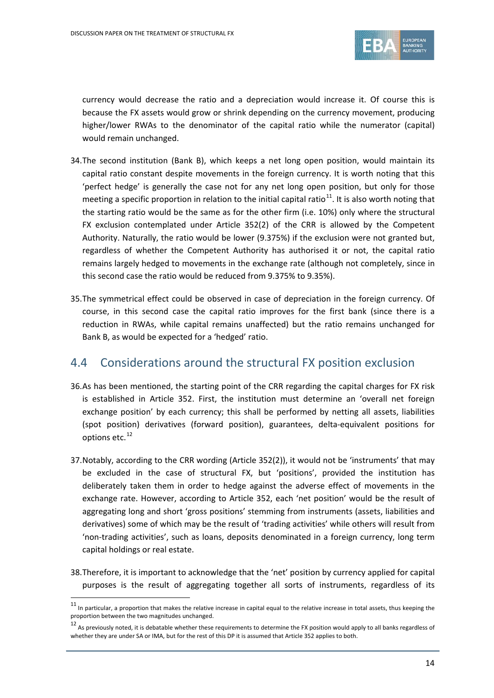

currency would decrease the ratio and a depreciation would increase it. Of course this is because the FX assets would grow or shrink depending on the currency movement, producing higher/lower RWAs to the denominator of the capital ratio while the numerator (capital) would remain unchanged.

- 34.The second institution (Bank B), which keeps a net long open position, would maintain its capital ratio constant despite movements in the foreign currency. It is worth noting that this 'perfect hedge' is generally the case not for any net long open position, but only for those meeting a specific proportion in relation to the initial capital ratio<sup>[11](#page-13-0)</sup>. It is also worth noting that the starting ratio would be the same as for the other firm (i.e. 10%) only where the structural FX exclusion contemplated under Article 352(2) of the CRR is allowed by the Competent Authority. Naturally, the ratio would be lower (9.375%) if the exclusion were not granted but, regardless of whether the Competent Authority has authorised it or not, the capital ratio remains largely hedged to movements in the exchange rate (although not completely, since in this second case the ratio would be reduced from 9.375% to 9.35%).
- 35.The symmetrical effect could be observed in case of depreciation in the foreign currency. Of course, in this second case the capital ratio improves for the first bank (since there is a reduction in RWAs, while capital remains unaffected) but the ratio remains unchanged for Bank B, as would be expected for a 'hedged' ratio.

## 4.4 Considerations around the structural FX position exclusion

- 36.As has been mentioned, the starting point of the CRR regarding the capital charges for FX risk is established in Article 352. First, the institution must determine an 'overall net foreign exchange position' by each currency; this shall be performed by netting all assets, liabilities (spot position) derivatives (forward position), guarantees, delta-equivalent positions for options etc.<sup>[12](#page-13-1)</sup>
- 37.Notably, according to the CRR wording (Article 352(2)), it would not be 'instruments' that may be excluded in the case of structural FX, but 'positions', provided the institution has deliberately taken them in order to hedge against the adverse effect of movements in the exchange rate. However, according to Article 352, each 'net position' would be the result of aggregating long and short 'gross positions' stemming from instruments (assets, liabilities and derivatives) some of which may be the result of 'trading activities' while others will result from 'non-trading activities', such as loans, deposits denominated in a foreign currency, long term capital holdings or real estate.
- 38.Therefore, it is important to acknowledge that the 'net' position by currency applied for capital purposes is the result of aggregating together all sorts of instruments, regardless of its

<span id="page-13-0"></span> $11$  In particular, a proportion that makes the relative increase in capital equal to the relative increase in total assets, thus keeping the proportion between the two magnitudes unchanged.

<span id="page-13-1"></span> $12$  As previously noted, it is debatable whether these requirements to determine the FX position would apply to all banks regardless of whether they are under SA or IMA, but for the rest of this DP it is assumed that Article 352 applies to both.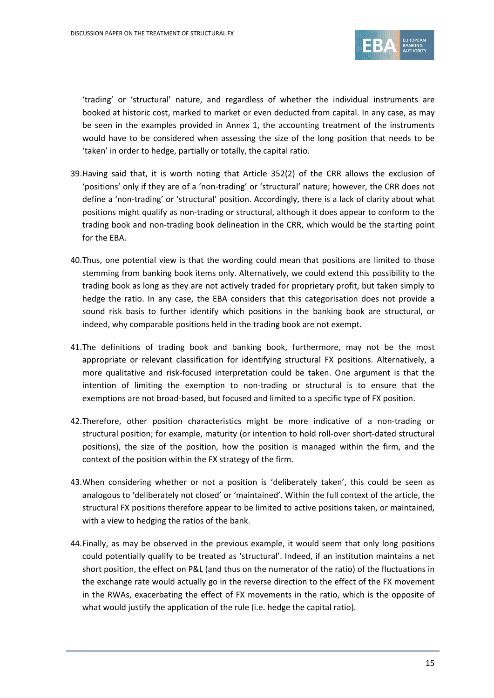

'trading' or 'structural' nature, and regardless of whether the individual instruments are booked at historic cost, marked to market or even deducted from capital. In any case, as may be seen in the examples provided in Annex 1, the accounting treatment of the instruments would have to be considered when assessing the size of the long position that needs to be 'taken' in order to hedge, partially or totally, the capital ratio.

- 39.Having said that, it is worth noting that Article 352(2) of the CRR allows the exclusion of 'positions' only if they are of a 'non-trading' or 'structural' nature; however, the CRR does not define a 'non-trading' or 'structural' position. Accordingly, there is a lack of clarity about what positions might qualify as non-trading or structural, although it does appear to conform to the trading book and non-trading book delineation in the CRR, which would be the starting point for the EBA.
- 40.Thus, one potential view is that the wording could mean that positions are limited to those stemming from banking book items only. Alternatively, we could extend this possibility to the trading book as long as they are not actively traded for proprietary profit, but taken simply to hedge the ratio. In any case, the EBA considers that this categorisation does not provide a sound risk basis to further identify which positions in the banking book are structural, or indeed, why comparable positions held in the trading book are not exempt.
- 41.The definitions of trading book and banking book, furthermore, may not be the most appropriate or relevant classification for identifying structural FX positions. Alternatively, a more qualitative and risk-focused interpretation could be taken. One argument is that the intention of limiting the exemption to non-trading or structural is to ensure that the exemptions are not broad-based, but focused and limited to a specific type of FX position.
- 42.Therefore, other position characteristics might be more indicative of a non-trading or structural position; for example, maturity (or intention to hold roll-over short-dated structural positions), the size of the position, how the position is managed within the firm, and the context of the position within the FX strategy of the firm.
- 43.When considering whether or not a position is 'deliberately taken', this could be seen as analogous to 'deliberately not closed' or 'maintained'. Within the full context of the article, the structural FX positions therefore appear to be limited to active positions taken, or maintained, with a view to hedging the ratios of the bank.
- 44.Finally, as may be observed in the previous example, it would seem that only long positions could potentially qualify to be treated as 'structural'. Indeed, if an institution maintains a net short position, the effect on P&L (and thus on the numerator of the ratio) of the fluctuations in the exchange rate would actually go in the reverse direction to the effect of the FX movement in the RWAs, exacerbating the effect of FX movements in the ratio, which is the opposite of what would justify the application of the rule (i.e. hedge the capital ratio).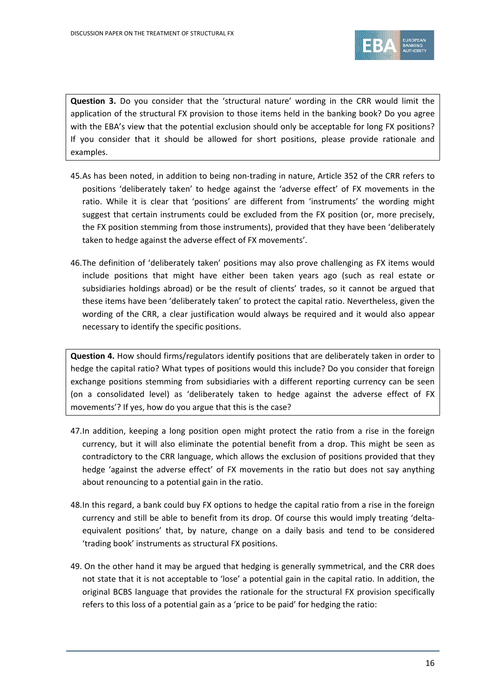

**Question 3.** Do you consider that the 'structural nature' wording in the CRR would limit the application of the structural FX provision to those items held in the banking book? Do you agree with the EBA's view that the potential exclusion should only be acceptable for long FX positions? If you consider that it should be allowed for short positions, please provide rationale and examples.

- 45.As has been noted, in addition to being non-trading in nature, Article 352 of the CRR refers to positions 'deliberately taken' to hedge against the 'adverse effect' of FX movements in the ratio. While it is clear that 'positions' are different from 'instruments' the wording might suggest that certain instruments could be excluded from the FX position (or, more precisely, the FX position stemming from those instruments), provided that they have been 'deliberately taken to hedge against the adverse effect of FX movements'.
- 46.The definition of 'deliberately taken' positions may also prove challenging as FX items would include positions that might have either been taken years ago (such as real estate or subsidiaries holdings abroad) or be the result of clients' trades, so it cannot be argued that these items have been 'deliberately taken' to protect the capital ratio. Nevertheless, given the wording of the CRR, a clear justification would always be required and it would also appear necessary to identify the specific positions.

**Question 4.** How should firms/regulators identify positions that are deliberately taken in order to hedge the capital ratio? What types of positions would this include? Do you consider that foreign exchange positions stemming from subsidiaries with a different reporting currency can be seen (on a consolidated level) as 'deliberately taken to hedge against the adverse effect of FX movements'? If yes, how do you argue that this is the case?

- 47.In addition, keeping a long position open might protect the ratio from a rise in the foreign currency, but it will also eliminate the potential benefit from a drop. This might be seen as contradictory to the CRR language, which allows the exclusion of positions provided that they hedge 'against the adverse effect' of FX movements in the ratio but does not say anything about renouncing to a potential gain in the ratio.
- 48.In this regard, a bank could buy FX options to hedge the capital ratio from a rise in the foreign currency and still be able to benefit from its drop. Of course this would imply treating 'deltaequivalent positions' that, by nature, change on a daily basis and tend to be considered 'trading book' instruments as structural FX positions.
- 49. On the other hand it may be argued that hedging is generally symmetrical, and the CRR does not state that it is not acceptable to 'lose' a potential gain in the capital ratio. In addition, the original BCBS language that provides the rationale for the structural FX provision specifically refers to this loss of a potential gain as a 'price to be paid' for hedging the ratio: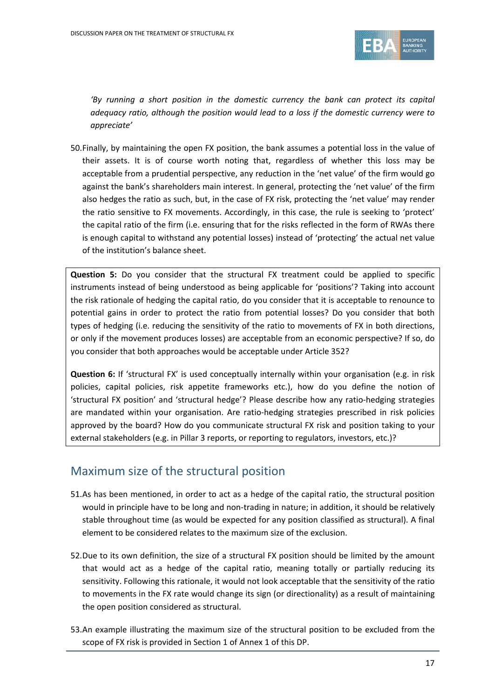

*'By running a short position in the domestic currency the bank can protect its capital adequacy ratio, although the position would lead to a loss if the domestic currency were to appreciate'*

50.Finally, by maintaining the open FX position, the bank assumes a potential loss in the value of their assets. It is of course worth noting that, regardless of whether this loss may be acceptable from a prudential perspective, any reduction in the 'net value' of the firm would go against the bank's shareholders main interest. In general, protecting the 'net value' of the firm also hedges the ratio as such, but, in the case of FX risk, protecting the 'net value' may render the ratio sensitive to FX movements. Accordingly, in this case, the rule is seeking to 'protect' the capital ratio of the firm (i.e. ensuring that for the risks reflected in the form of RWAs there is enough capital to withstand any potential losses) instead of 'protecting' the actual net value of the institution's balance sheet.

**Question 5:** Do you consider that the structural FX treatment could be applied to specific instruments instead of being understood as being applicable for 'positions'? Taking into account the risk rationale of hedging the capital ratio, do you consider that it is acceptable to renounce to potential gains in order to protect the ratio from potential losses? Do you consider that both types of hedging (i.e. reducing the sensitivity of the ratio to movements of FX in both directions, or only if the movement produces losses) are acceptable from an economic perspective? If so, do you consider that both approaches would be acceptable under Article 352?

**Question 6:** If 'structural FX' is used conceptually internally within your organisation (e.g. in risk policies, capital policies, risk appetite frameworks etc.), how do you define the notion of 'structural FX position' and 'structural hedge'? Please describe how any ratio-hedging strategies are mandated within your organisation. Are ratio-hedging strategies prescribed in risk policies approved by the board? How do you communicate structural FX risk and position taking to your external stakeholders (e.g. in Pillar 3 reports, or reporting to regulators, investors, etc.)?

## Maximum size of the structural position

- 51.As has been mentioned, in order to act as a hedge of the capital ratio, the structural position would in principle have to be long and non-trading in nature; in addition, it should be relatively stable throughout time (as would be expected for any position classified as structural). A final element to be considered relates to the maximum size of the exclusion.
- 52.Due to its own definition, the size of a structural FX position should be limited by the amount that would act as a hedge of the capital ratio, meaning totally or partially reducing its sensitivity. Following this rationale, it would not look acceptable that the sensitivity of the ratio to movements in the FX rate would change its sign (or directionality) as a result of maintaining the open position considered as structural.
- 53.An example illustrating the maximum size of the structural position to be excluded from the scope of FX risk is provided in Section 1 of Annex 1 of this DP.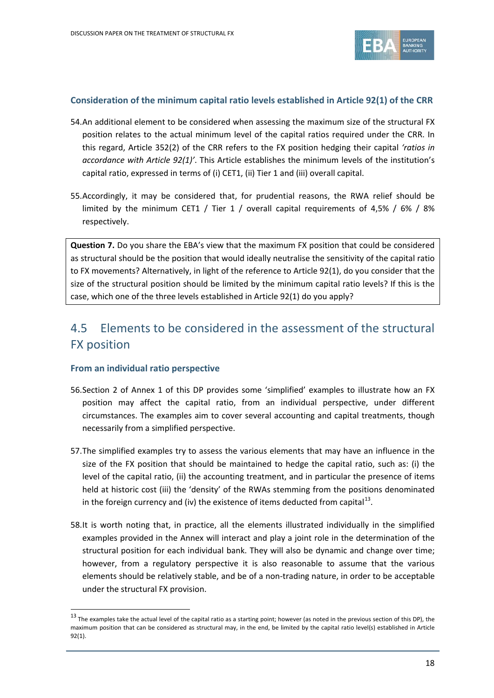

### **Consideration of the minimum capital ratio levels established in Article 92(1) of the CRR**

- 54.An additional element to be considered when assessing the maximum size of the structural FX position relates to the actual minimum level of the capital ratios required under the CRR. In this regard, Article 352(2) of the CRR refers to the FX position hedging their capital *'ratios in accordance with Article 92(1)'*. This Article establishes the minimum levels of the institution's capital ratio, expressed in terms of (i) CET1, (ii) Tier 1 and (iii) overall capital.
- 55.Accordingly, it may be considered that, for prudential reasons, the RWA relief should be limited by the minimum CET1 / Tier 1 / overall capital requirements of 4,5% / 6% / 8% respectively.

**Question 7.** Do you share the EBA's view that the maximum FX position that could be considered as structural should be the position that would ideally neutralise the sensitivity of the capital ratio to FX movements? Alternatively, in light of the reference to Article 92(1), do you consider that the size of the structural position should be limited by the minimum capital ratio levels? If this is the case, which one of the three levels established in Article 92(1) do you apply?

# 4.5 Elements to be considered in the assessment of the structural FX position

### **From an individual ratio perspective**

l

- 56.Section 2 of Annex 1 of this DP provides some 'simplified' examples to illustrate how an FX position may affect the capital ratio, from an individual perspective, under different circumstances. The examples aim to cover several accounting and capital treatments, though necessarily from a simplified perspective.
- 57.The simplified examples try to assess the various elements that may have an influence in the size of the FX position that should be maintained to hedge the capital ratio, such as: (i) the level of the capital ratio, (ii) the accounting treatment, and in particular the presence of items held at historic cost (iii) the 'density' of the RWAs stemming from the positions denominated in the foreign currency and (iv) the existence of items deducted from capital $^{13}$ .
- 58.It is worth noting that, in practice, all the elements illustrated individually in the simplified examples provided in the Annex will interact and play a joint role in the determination of the structural position for each individual bank. They will also be dynamic and change over time; however, from a regulatory perspective it is also reasonable to assume that the various elements should be relatively stable, and be of a non-trading nature, in order to be acceptable under the structural FX provision.

<span id="page-17-0"></span> $13$  The examples take the actual level of the capital ratio as a starting point; however (as noted in the previous section of this DP), the maximum position that can be considered as structural may, in the end, be limited by the capital ratio level(s) established in Article 92(1).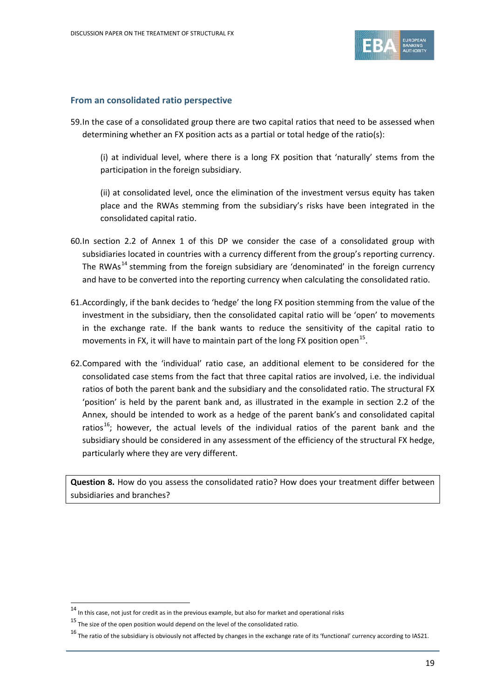

#### **From an consolidated ratio perspective**

59.In the case of a consolidated group there are two capital ratios that need to be assessed when determining whether an FX position acts as a partial or total hedge of the ratio(s):

(i) at individual level, where there is a long FX position that 'naturally' stems from the participation in the foreign subsidiary.

(ii) at consolidated level, once the elimination of the investment versus equity has taken place and the RWAs stemming from the subsidiary's risks have been integrated in the consolidated capital ratio.

- 60.In section 2.2 of Annex 1 of this DP we consider the case of a consolidated group with subsidiaries located in countries with a currency different from the group's reporting currency. The RWAs<sup>[14](#page-18-0)</sup> stemming from the foreign subsidiary are 'denominated' in the foreign currency and have to be converted into the reporting currency when calculating the consolidated ratio.
- 61.Accordingly, if the bank decides to 'hedge' the long FX position stemming from the value of the investment in the subsidiary, then the consolidated capital ratio will be 'open' to movements in the exchange rate. If the bank wants to reduce the sensitivity of the capital ratio to movements in FX, it will have to maintain part of the long FX position open<sup>15</sup>.
- 62.Compared with the 'individual' ratio case, an additional element to be considered for the consolidated case stems from the fact that three capital ratios are involved, i.e. the individual ratios of both the parent bank and the subsidiary and the consolidated ratio. The structural FX 'position' is held by the parent bank and, as illustrated in the example in section 2.2 of the Annex, should be intended to work as a hedge of the parent bank's and consolidated capital ratios<sup>[16](#page-18-2)</sup>; however, the actual levels of the individual ratios of the parent bank and the subsidiary should be considered in any assessment of the efficiency of the structural FX hedge, particularly where they are very different.

**Question 8.** How do you assess the consolidated ratio? How does your treatment differ between subsidiaries and branches?

<span id="page-18-0"></span> $14$  In this case, not just for credit as in the previous example, but also for market and operational risks

<span id="page-18-1"></span> $^{15}$  The size of the open position would depend on the level of the consolidated ratio.

<span id="page-18-2"></span> $16$  The ratio of the subsidiary is obviously not affected by changes in the exchange rate of its 'functional' currency according to IAS21.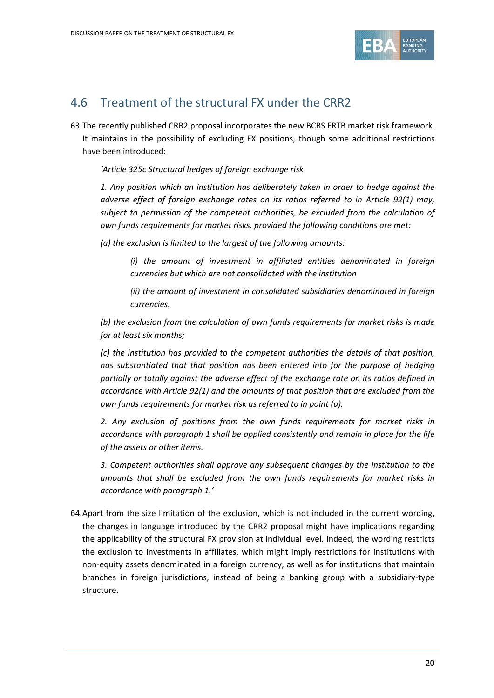

## 4.6 Treatment of the structural FX under the CRR2

63.The recently published CRR2 proposal incorporates the new BCBS FRTB market risk framework. It maintains in the possibility of excluding FX positions, though some additional restrictions have been introduced:

*'Article 325c Structural hedges of foreign exchange risk*

*1. Any position which an institution has deliberately taken in order to hedge against the adverse effect of foreign exchange rates on its ratios referred to in Article 92(1) may, subject to permission of the competent authorities, be excluded from the calculation of own funds requirements for market risks, provided the following conditions are met:*

*(a) the exclusion is limited to the largest of the following amounts:*

*(i) the amount of investment in affiliated entities denominated in foreign currencies but which are not consolidated with the institution*

*(ii) the amount of investment in consolidated subsidiaries denominated in foreign currencies.*

*(b) the exclusion from the calculation of own funds requirements for market risks is made for at least six months;*

*(c) the institution has provided to the competent authorities the details of that position, has substantiated that that position has been entered into for the purpose of hedging partially or totally against the adverse effect of the exchange rate on its ratios defined in accordance with Article 92(1) and the amounts of that position that are excluded from the own funds requirements for market risk as referred to in point (a).*

*2. Any exclusion of positions from the own funds requirements for market risks in accordance with paragraph 1 shall be applied consistently and remain in place for the life of the assets or other items.*

*3. Competent authorities shall approve any subsequent changes by the institution to the amounts that shall be excluded from the own funds requirements for market risks in accordance with paragraph 1.'*

64.Apart from the size limitation of the exclusion, which is not included in the current wording, the changes in language introduced by the CRR2 proposal might have implications regarding the applicability of the structural FX provision at individual level. Indeed, the wording restricts the exclusion to investments in affiliates, which might imply restrictions for institutions with non-equity assets denominated in a foreign currency, as well as for institutions that maintain branches in foreign jurisdictions, instead of being a banking group with a subsidiary-type structure.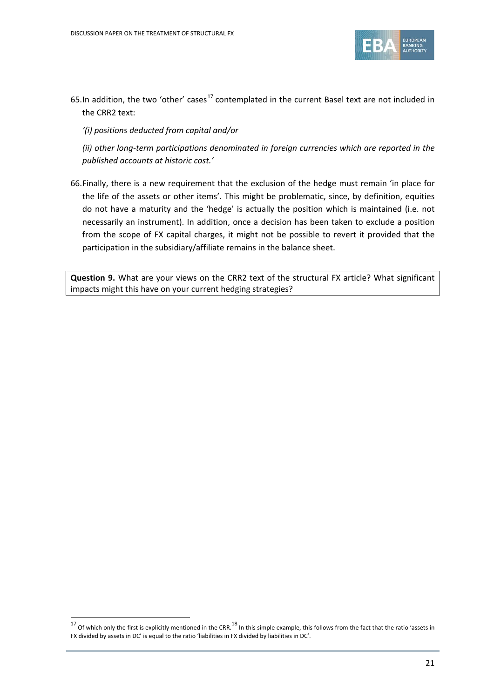

65.In addition, the two 'other' cases<sup>[17](#page-20-0)</sup> contemplated in the current Basel text are not included in the CRR2 text:

*'(i) positions deducted from capital and/or* 

*(ii) other long-term participations denominated in foreign currencies which are reported in the published accounts at historic cost.'*

66.Finally, there is a new requirement that the exclusion of the hedge must remain 'in place for the life of the assets or other items'. This might be problematic, since, by definition, equities do not have a maturity and the 'hedge' is actually the position which is maintained (i.e. not necessarily an instrument). In addition, once a decision has been taken to exclude a position from the scope of FX capital charges, it might not be possible to revert it provided that the participation in the subsidiary/affiliate remains in the balance sheet.

**Question 9.** What are your views on the CRR2 text of the structural FX article? What significant impacts might this have on your current hedging strategies?

<span id="page-20-0"></span> $17$  Of which only the first is explicitly mentioned in the CRR.<sup>18</sup> In this simple example, this follows from the fact that the ratio 'assets in FX divided by assets in DC' is equal to the ratio 'liabilities in FX divided by liabilities in DC'.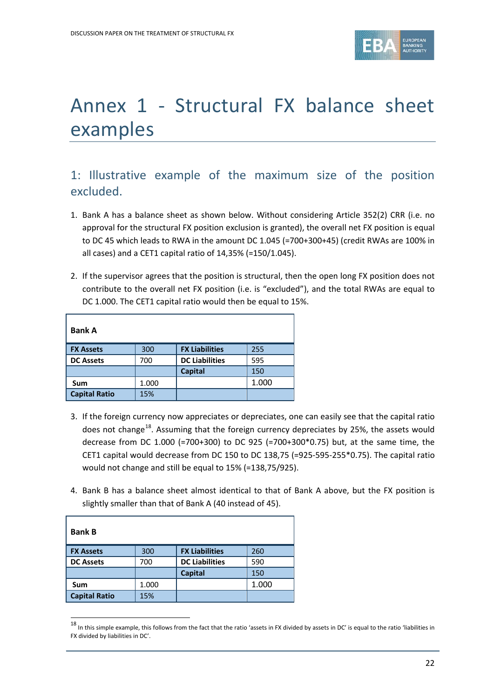

# Annex 1 - Structural FX balance sheet examples

# 1: Illustrative example of the maximum size of the position excluded.

- 1. Bank A has a balance sheet as shown below. Without considering Article 352(2) CRR (i.e. no approval for the structural FX position exclusion is granted), the overall net FX position is equal to DC 45 which leads to RWA in the amount DC 1.045 (=700+300+45) (credit RWAs are 100% in all cases) and a CET1 capital ratio of 14,35% (=150/1.045).
- 2. If the supervisor agrees that the position is structural, then the open long FX position does not contribute to the overall net FX position (i.e. is "excluded"), and the total RWAs are equal to DC 1.000. The CET1 capital ratio would then be equal to 15%.

| <b>Bank A</b>        |       |                       |       |
|----------------------|-------|-----------------------|-------|
| <b>FX Assets</b>     | 300   | <b>FX Liabilities</b> | 255   |
| <b>DC Assets</b>     | 700   | <b>DC Liabilities</b> | 595   |
|                      |       | <b>Capital</b>        | 150   |
| Sum                  | 1.000 |                       | 1.000 |
| <b>Capital Ratio</b> | 15%   |                       |       |

- 3. If the foreign currency now appreciates or depreciates, one can easily see that the capital ratio does not change<sup>[18](#page-21-0)</sup>. Assuming that the foreign currency depreciates by 25%, the assets would decrease from DC 1.000 (=700+300) to DC 925 (=700+300\*0.75) but, at the same time, the CET1 capital would decrease from DC 150 to DC 138,75 (=925-595-255\*0.75). The capital ratio would not change and still be equal to 15% (=138,75/925).
- 4. Bank B has a balance sheet almost identical to that of Bank A above, but the FX position is slightly smaller than that of Bank A (40 instead of 45).

| <b>Bank B</b>        |       |                       |       |
|----------------------|-------|-----------------------|-------|
| <b>FX Assets</b>     | 300   | <b>FX Liabilities</b> | 260   |
| <b>DC Assets</b>     | 700   | <b>DC Liabilities</b> | 590   |
|                      |       | <b>Capital</b>        | 150   |
| Sum                  | 1.000 |                       | 1.000 |
| <b>Capital Ratio</b> | 15%   |                       |       |

<span id="page-21-0"></span> $^{18}$  In this simple example, this follows from the fact that the ratio 'assets in FX divided by assets in DC' is equal to the ratio 'liabilities in FX divided by liabilities in DC'.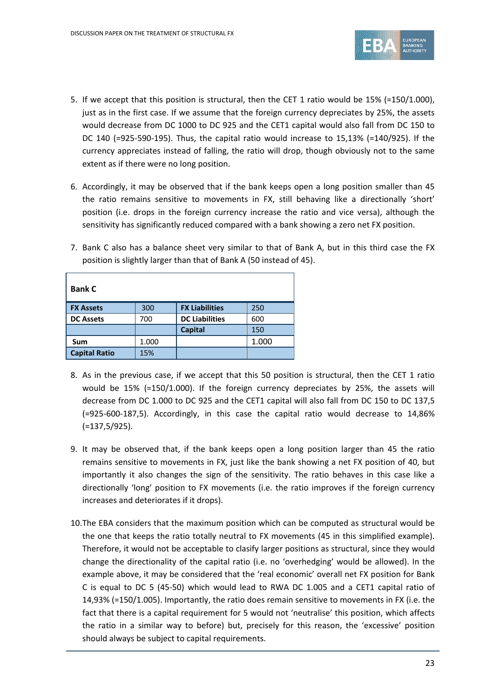

- 5. If we accept that this position is structural, then the CET 1 ratio would be 15% (=150/1.000), just as in the first case. If we assume that the foreign currency depreciates by 25%, the assets would decrease from DC 1000 to DC 925 and the CET1 capital would also fall from DC 150 to DC 140 (=925-590-195). Thus, the capital ratio would increase to 15,13% (=140/925). If the currency appreciates instead of falling, the ratio will drop, though obviously not to the same extent as if there were no long position.
- 6. Accordingly, it may be observed that if the bank keeps open a long position smaller than 45 the ratio remains sensitive to movements in FX, still behaving like a directionally 'short' position (i.e. drops in the foreign currency increase the ratio and vice versa), although the sensitivity has significantly reduced compared with a bank showing a zero net FX position.

| <b>Bank C</b>        |       |                       |       |
|----------------------|-------|-----------------------|-------|
| <b>FX Assets</b>     | 300   | <b>FX Liabilities</b> | 250   |
| <b>DC Assets</b>     | 700   | <b>DC Liabilities</b> | 600   |
|                      |       | <b>Capital</b>        | 150   |
| Sum                  | 1.000 |                       | 1.000 |
| <b>Capital Ratio</b> | 15%   |                       |       |

7. Bank C also has a balance sheet very similar to that of Bank A, but in this third case the FX position is slightly larger than that of Bank A (50 instead of 45).

- 8. As in the previous case, if we accept that this 50 position is structural, then the CET 1 ratio would be 15% (=150/1.000). If the foreign currency depreciates by 25%, the assets will decrease from DC 1.000 to DC 925 and the CET1 capital will also fall from DC 150 to DC 137,5 (=925-600-187,5). Accordingly, in this case the capital ratio would decrease to 14,86% (=137,5/925).
- 9. It may be observed that, if the bank keeps open a long position larger than 45 the ratio remains sensitive to movements in FX, just like the bank showing a net FX position of 40, but importantly it also changes the sign of the sensitivity. The ratio behaves in this case like a directionally 'long' position to FX movements (i.e. the ratio improves if the foreign currency increases and deteriorates if it drops).
- 10.The EBA considers that the maximum position which can be computed as structural would be the one that keeps the ratio totally neutral to FX movements (45 in this simplified example). Therefore, it would not be acceptable to clasify larger positions as structural, since they would change the directionality of the capital ratio (i.e. no 'overhedging' would be allowed). In the example above, it may be considered that the 'real economic' overall net FX position for Bank C is equal to DC 5 (45-50) which would lead to RWA DC 1.005 and a CET1 capital ratio of 14,93% (=150/1.005). Importantly, the ratio does remain sensitive to movements in FX (i.e. the fact that there is a capital requirement for 5 would not 'neutralise' this position, which affects the ratio in a similar way to before) but, precisely for this reason, the 'excessive' position should always be subject to capital requirements.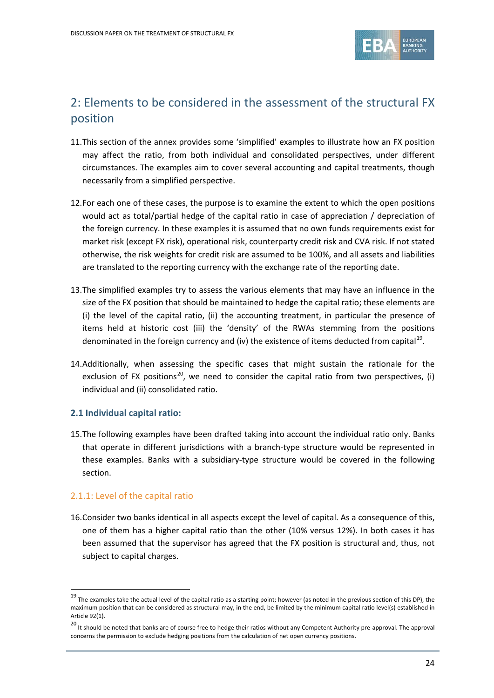

# 2: Elements to be considered in the assessment of the structural FX position

- 11.This section of the annex provides some 'simplified' examples to illustrate how an FX position may affect the ratio, from both individual and consolidated perspectives, under different circumstances. The examples aim to cover several accounting and capital treatments, though necessarily from a simplified perspective.
- 12.For each one of these cases, the purpose is to examine the extent to which the open positions would act as total/partial hedge of the capital ratio in case of appreciation / depreciation of the foreign currency. In these examples it is assumed that no own funds requirements exist for market risk (except FX risk), operational risk, counterparty credit risk and CVA risk. If not stated otherwise, the risk weights for credit risk are assumed to be 100%, and all assets and liabilities are translated to the reporting currency with the exchange rate of the reporting date.
- 13.The simplified examples try to assess the various elements that may have an influence in the size of the FX position that should be maintained to hedge the capital ratio; these elements are (i) the level of the capital ratio, (ii) the accounting treatment, in particular the presence of items held at historic cost (iii) the 'density' of the RWAs stemming from the positions denominated in the foreign currency and (iv) the existence of items deducted from capital<sup>[19](#page-23-0)</sup>.
- 14.Additionally, when assessing the specific cases that might sustain the rationale for the exclusion of FX positions<sup>20</sup>, we need to consider the capital ratio from two perspectives, (i) individual and (ii) consolidated ratio.

## **2.1 Individual capital ratio:**

15.The following examples have been drafted taking into account the individual ratio only. Banks that operate in different jurisdictions with a branch-type structure would be represented in these examples. Banks with a subsidiary-type structure would be covered in the following section.

### 2.1.1: Level of the capital ratio

l

16.Consider two banks identical in all aspects except the level of capital. As a consequence of this, one of them has a higher capital ratio than the other (10% versus 12%). In both cases it has been assumed that the supervisor has agreed that the FX position is structural and, thus, not subject to capital charges.

<span id="page-23-0"></span> $19$  The examples take the actual level of the capital ratio as a starting point; however (as noted in the previous section of this DP), the maximum position that can be considered as structural may, in the end, be limited by the minimum capital ratio level(s) established in Article 92(1).

<span id="page-23-1"></span><sup>&</sup>lt;sup>20</sup> It should be noted that banks are of course free to hedge their ratios without any Competent Authority pre-approval. The approval concerns the permission to exclude hedging positions from the calculation of net open currency positions.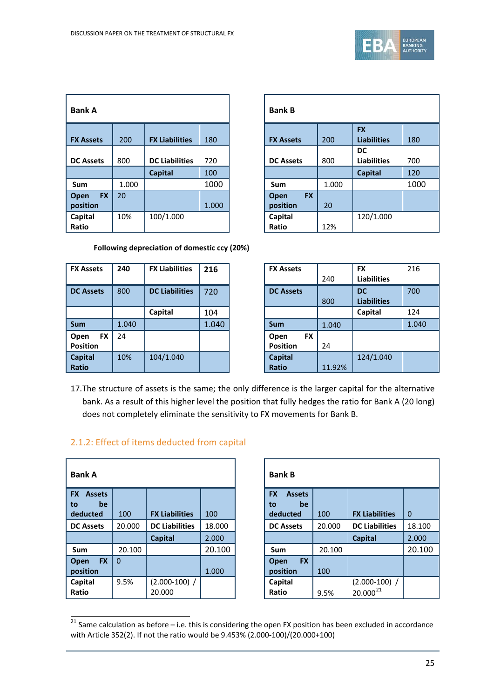

| <b>Bank A</b>                 |       |                       |       |  |                               | <b>Bank B</b> |  |
|-------------------------------|-------|-----------------------|-------|--|-------------------------------|---------------|--|
| <b>FX Assets</b>              | 200   | <b>FX Liabilities</b> | 180   |  | <b>FX Assets</b>              | 200           |  |
| <b>DC Assets</b>              | 800   | <b>DC Liabilities</b> | 720   |  | <b>DC Assets</b>              | 800           |  |
|                               |       | <b>Capital</b>        | 100   |  |                               |               |  |
| Sum                           | 1.000 |                       | 1000  |  | Sum                           | 1.0           |  |
| <b>FX</b><br>Open<br>position | 20    |                       | 1.000 |  | <b>FX</b><br>Open<br>position | 20            |  |
| Capital<br>Ratio              | 10%   | 100/1.000             |       |  | Capital<br>Ratio              | 12%           |  |

| <b>Bank A</b>                       |       |                       |       | <b>Bank B</b>                 |       |                                 |      |
|-------------------------------------|-------|-----------------------|-------|-------------------------------|-------|---------------------------------|------|
| <b>X Assets</b>                     | 200   | <b>FX Liabilities</b> | 180   | <b>FX Assets</b>              | 200   | <b>FX</b><br><b>Liabilities</b> | 180  |
| <b>C Assets</b>                     | 800   | <b>DC Liabilities</b> | 720   | <b>DC Assets</b>              | 800   | <b>DC</b><br><b>Liabilities</b> | 700  |
|                                     |       | <b>Capital</b>        | 100   |                               |       | <b>Capital</b>                  | 120  |
| Sum                                 | 1.000 |                       | 1000  | Sum                           | 1.000 |                                 | 1000 |
| <b>FX</b><br><b>Dpen</b><br>osition | 20    |                       | 1.000 | <b>FX</b><br>Open<br>position | 20    |                                 |      |
| Capital<br><b>Ratio</b>             | 10%   | 100/1.000             |       | Capital<br>Ratio              | 12%   | 120/1.000                       |      |

**Following depreciation of domestic ccy (20%)**

| <b>FX Assets</b>                     | 240   | <b>FX Liabilities</b> | 216   | <b>FX Assets</b>                     |
|--------------------------------------|-------|-----------------------|-------|--------------------------------------|
| <b>DC Assets</b>                     | 800   | <b>DC Liabilities</b> | 720   | <b>DC Assets</b>                     |
|                                      |       | Capital               | 104   |                                      |
| <b>Sum</b>                           | 1.040 |                       | 1.040 | Sum                                  |
| <b>FX</b><br>Open<br><b>Position</b> | 24    |                       |       | <b>FX</b><br>Open<br><b>Position</b> |
| <b>Capital</b><br><b>Ratio</b>       | 10%   | 104/1.040             |       | <b>Capital</b><br><b>Ratio</b>       |

| <b>FX Assets</b>  | 240   | <b>FX Liabilities</b> | 216   | <b>FX Assets</b>  |        | <b>FX</b>          | 216   |
|-------------------|-------|-----------------------|-------|-------------------|--------|--------------------|-------|
|                   |       |                       |       |                   | 240    | <b>Liabilities</b> |       |
| <b>DC Assets</b>  | 800   | <b>DC Liabilities</b> | 720   | <b>DC Assets</b>  |        | <b>DC</b>          | 700   |
|                   |       |                       |       |                   | 800    | <b>Liabilities</b> |       |
|                   |       | Capital               | 104   |                   |        | Capital            | 124   |
| Sum               | 1.040 |                       | 1.040 | <b>Sum</b>        | 1.040  |                    | 1.040 |
| <b>FX</b><br>Open | 24    |                       |       | <b>FX</b><br>Open |        |                    |       |
| Position          |       |                       |       | <b>Position</b>   | 24     |                    |       |
| <b>Capital</b>    | 10%   | 104/1.040             |       | <b>Capital</b>    |        | 124/1.040          |       |
| Ratio             |       |                       |       | <b>Ratio</b>      | 11.92% |                    |       |

17.The structure of assets is the same; the only difference is the larger capital for the alternative bank. As a result of this higher level the position that fully hedges the ratio for Bank A (20 long) does not completely eliminate the sensitivity to FX movements for Bank B.

## 2.1.2: Effect of items deducted from capital

| <b>Bank A</b>                          |          |                           |        | <b>Bank B</b>                          |        |                                  |             |
|----------------------------------------|----------|---------------------------|--------|----------------------------------------|--------|----------------------------------|-------------|
| <b>Assets</b><br><b>FX</b><br>be<br>to |          |                           |        | <b>FX</b><br><b>Assets</b><br>be<br>to |        |                                  |             |
| deducted                               | 100      | <b>FX Liabilities</b>     | 100    | deducted                               | 100    | <b>FX Liabilities</b>            | $\mathbf 0$ |
| <b>DC Assets</b>                       | 20.000   | <b>DC Liabilities</b>     | 18.000 | <b>DC Assets</b>                       | 20.000 | <b>DC Liabilities</b>            | 18.100      |
|                                        |          | <b>Capital</b>            | 2.000  |                                        |        | <b>Capital</b>                   | 2.000       |
| <b>Sum</b>                             | 20.100   |                           | 20.100 | <b>Sum</b>                             | 20.100 |                                  | 20.10       |
| <b>FX</b><br>Open<br>position          | $\Omega$ |                           | 1.000  | <b>FX</b><br>Open<br>position          | 100    |                                  |             |
| Capital<br>Ratio                       | 9.5%     | $(2.000-100)$ /<br>20.000 |        | Capital<br>Ratio                       | 9.5%   | $(2.000-100)$ /<br>$20.000^{21}$ |             |

| 3ank A                               |          |                           |        | <b>Bank B</b>                 |        |                                  |          |
|--------------------------------------|----------|---------------------------|--------|-------------------------------|--------|----------------------------------|----------|
| <b>X</b> Assets                      |          |                           |        | <b>FX</b><br><b>Assets</b>    |        |                                  |          |
| be<br>O:<br>deducted                 | 100      | <b>FX Liabilities</b>     | 100    | be<br>to<br>deducted          | 100    | <b>FX Liabilities</b>            | $\Omega$ |
| <b>DC Assets</b>                     | 20.000   | <b>DC Liabilities</b>     | 18.000 | <b>DC Assets</b>              | 20.000 | <b>DC Liabilities</b>            | 18.100   |
|                                      |          | <b>Capital</b>            | 2.000  |                               |        | <b>Capital</b>                   | 2.000    |
| Sum                                  | 20.100   |                           | 20.100 | <b>Sum</b>                    | 20.100 |                                  | 20.100   |
| <b>FX</b><br><b>Dpen</b><br>oosition | $\Omega$ |                           | 1.000  | <b>FX</b><br>Open<br>position | 100    |                                  |          |
| Capital<br><b>Ratio</b>              | 9.5%     | $(2.000-100)$ /<br>20.000 |        | Capital<br>Ratio              | 9.5%   | $(2.000-100)$ /<br>$20.000^{21}$ |          |

<span id="page-24-0"></span> $\frac{21}{21}$  Same calculation as before – i.e. this is considering the open FX position has been excluded in accordance with Article 352(2). If not the ratio would be 9.453% (2.000-100)/(20.000+100)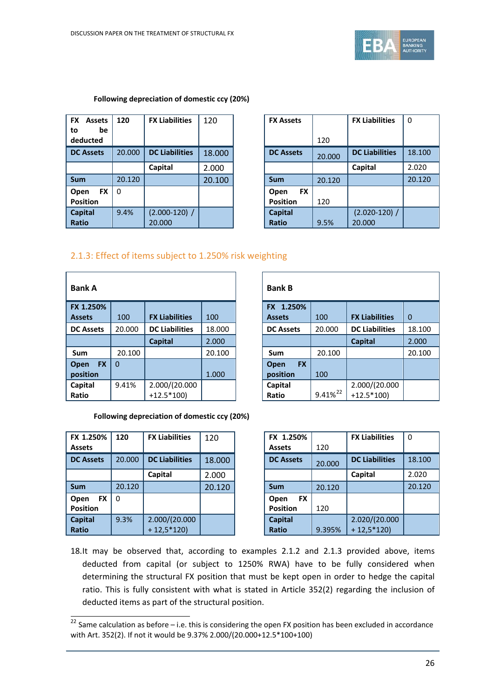

#### **Following depreciation of domestic ccy (20%)**

| <b>FX</b><br><b>Assets</b><br>be<br>to<br>deducted | 120      | <b>FX Liabilities</b>     | 120    | <b>FX Assets</b>                     |
|----------------------------------------------------|----------|---------------------------|--------|--------------------------------------|
| <b>DC Assets</b>                                   | 20.000   | <b>DC Liabilities</b>     | 18.000 | <b>DC Assets</b>                     |
|                                                    |          | Capital                   | 2.000  |                                      |
| <b>Sum</b>                                         | 20.120   |                           | 20.100 | <b>Sum</b>                           |
| <b>FX</b><br>Open<br><b>Position</b>               | $\Omega$ |                           |        | <b>FX</b><br>Open<br><b>Position</b> |
| <b>Capital</b><br><b>Ratio</b>                     | 9.4%     | $(2.000-120)$ /<br>20.000 |        | <b>Capital</b><br><b>Ratio</b>       |

| FX<br><b>Assets</b><br>to<br>be | 120      | <b>FX Liabilities</b> | 120    | <b>FX Assets</b>  |        | <b>FX Liabilities</b> | 0      |
|---------------------------------|----------|-----------------------|--------|-------------------|--------|-----------------------|--------|
| deducted                        |          |                       |        |                   | 120    |                       |        |
| <b>DC Assets</b>                | 20.000   | <b>DC Liabilities</b> | 18.000 | <b>DC Assets</b>  | 20,000 | <b>DC Liabilities</b> | 18.100 |
|                                 |          | Capital               | 2.000  |                   |        | Capital               | 2.020  |
| Sum                             | 20.120   |                       | 20.100 | <b>Sum</b>        | 20.120 |                       | 20.120 |
| <b>FX</b><br>Open               | $\Omega$ |                       |        | <b>FX</b><br>Open |        |                       |        |
| Position                        |          |                       |        | <b>Position</b>   | 120    |                       |        |
| <b>Capital</b>                  | 9.4%     | $(2.000-120)$ /       |        | <b>Capital</b>    |        | $(2.020 - 120)$ /     |        |
| Ratio                           |          | 20,000                |        | <b>Ratio</b>      | 9.5%   | 20,000                |        |

### 2.1.3: Effect of items subject to 1.250% risk weighting

| <b>Bank A</b>     | <b>Bank B</b> |                       |        |               |
|-------------------|---------------|-----------------------|--------|---------------|
| FX 1.250%         |               |                       |        | FX 1.2        |
| <b>Assets</b>     | 100           | <b>FX Liabilities</b> | 100    | <b>Assets</b> |
| <b>DC Assets</b>  | 20.000        | <b>DC Liabilities</b> | 18.000 | DC Asse       |
|                   |               | <b>Capital</b>        | 2.000  |               |
| Sum               | 20.100        |                       | 20.100 | Sum           |
| <b>FX</b><br>Open | $\Omega$      |                       |        | Open          |
| position          |               |                       | 1.000  | position      |
| Capital           | 9.41%         | 2.000/(20.000         |        | Capital       |
| Ratio             |               | $+12.5*100$           |        | Ratio         |

#### **Following depreciation of domestic ccy (20%)**

| FX 1.250%         | 120    | <b>FX Liabilities</b> | 120    |                 | FX 1.250%        |        | <b>FX Liabilities</b> | $\Omega$ |
|-------------------|--------|-----------------------|--------|-----------------|------------------|--------|-----------------------|----------|
| <b>Assets</b>     |        |                       |        | <b>Assets</b>   |                  | 120    |                       |          |
| <b>DC Assets</b>  | 20,000 | <b>DC Liabilities</b> | 18.000 |                 | <b>DC Assets</b> | 20,000 | <b>DC Liabilities</b> | 18.100   |
|                   |        | Capital               | 2.000  |                 |                  |        | Capital               | 2.020    |
| <b>Sum</b>        | 20.120 |                       | 20.120 | <b>Sum</b>      |                  | 20.120 |                       | 20.120   |
| <b>FX</b><br>Open | l 0    |                       |        | Open            | <b>FX</b>        |        |                       |          |
| <b>Position</b>   |        |                       |        | <b>Position</b> |                  | 120    |                       |          |
| <b>Capital</b>    | 9.3%   | 2.000/(20.000         |        | <b>Capital</b>  |                  |        | 2.020/(20.000         |          |
| <b>Ratio</b>      |        | $+12,5*120$           |        | <b>Ratio</b>    |                  | 9.395% | $+12,5*120$           |          |

| <b>Bank A</b>            |          |                       |        | <b>Bank B</b>       |               |                       |             |
|--------------------------|----------|-----------------------|--------|---------------------|---------------|-----------------------|-------------|
| FX 1.250%                |          |                       |        | 1.250%<br><b>FX</b> |               |                       |             |
| Assets                   | 100      | <b>FX Liabilities</b> | 100    | <b>Assets</b>       | 100           | <b>FX Liabilities</b> | $\mathbf 0$ |
| <b>DC Assets</b>         | 20.000   | <b>DC Liabilities</b> | 18.000 | <b>DC Assets</b>    | 20.000        | <b>DC Liabilities</b> | 18.100      |
|                          |          | <b>Capital</b>        | 2.000  |                     |               | <b>Capital</b>        | 2.000       |
| Sum                      | 20.100   |                       | 20.100 | Sum                 | 20.100        |                       | 20.100      |
| <b>FX</b><br><b>Open</b> | $\Omega$ |                       |        | <b>FX</b><br>Open   |               |                       |             |
| position                 |          |                       | 1.000  | position            | 100           |                       |             |
| Capital                  | 9.41%    | 2.000/(20.000         |        | Capital             |               | 2.000/(20.000         |             |
| Ratio                    |          | $+12.5*100$           |        | Ratio               | $9.41\%^{22}$ | $+12.5*100$           |             |

| <b>FX Liabilities</b> | 120    | FX 1.250%         |        | <b>FX Liabilities</b> | $\mathbf{0}$ |
|-----------------------|--------|-------------------|--------|-----------------------|--------------|
|                       |        | <b>Assets</b>     | 120    |                       |              |
| <b>DC Liabilities</b> | 18.000 | <b>DC Assets</b>  | 20,000 | <b>DC Liabilities</b> | 18.100       |
| Capital               | 2.000  |                   |        | Capital               | 2.020        |
|                       | 20.120 | <b>Sum</b>        | 20.120 |                       | 20.120       |
|                       |        | <b>FX</b><br>Open |        |                       |              |
|                       |        | <b>Position</b>   | 120    |                       |              |
| 2.000/(20.000         |        | <b>Capital</b>    |        | 2.020/(20.000         |              |
| $+ 12,5*120$          |        | <b>Ratio</b>      | 9.395% | $+12,5*120$           |              |

18.It may be observed that, according to examples 2.1.2 and 2.1.3 provided above, items deducted from capital (or subject to 1250% RWA) have to be fully considered when determining the structural FX position that must be kept open in order to hedge the capital ratio. This is fully consistent with what is stated in Article 352(2) regarding the inclusion of deducted items as part of the structural position.

<span id="page-25-0"></span> $\frac{22}{2}$  Same calculation as before – i.e. this is considering the open FX position has been excluded in accordance with Art. 352(2). If not it would be 9.37% 2.000/(20.000+12.5\*100+100)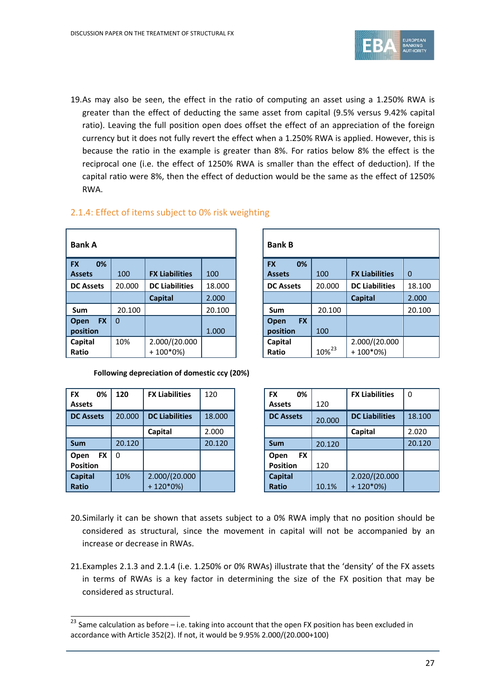

19.As may also be seen, the effect in the ratio of computing an asset using a 1.250% RWA is greater than the effect of deducting the same asset from capital (9.5% versus 9.42% capital ratio). Leaving the full position open does offset the effect of an appreciation of the foreign currency but it does not fully revert the effect when a 1.250% RWA is applied. However, this is because the ratio in the example is greater than 8%. For ratios below 8% the effect is the reciprocal one (i.e. the effect of 1250% RWA is smaller than the effect of deduction). If the capital ratio were 8%, then the effect of deduction would be the same as the effect of 1250% RWA.

## 2.1.4: Effect of items subject to 0% risk weighting

| <b>Bank A</b>                 |          | <b>Bank B</b>         |        |                  |
|-------------------------------|----------|-----------------------|--------|------------------|
| 0%<br><b>FX</b>               |          |                       |        | <b>FX</b>        |
| <b>Assets</b>                 | 100      | <b>FX Liabilities</b> | 100    | <b>Assets</b>    |
| <b>DC Assets</b>              | 20.000   | <b>DC Liabilities</b> | 18.000 | <b>DC Asse</b>   |
|                               |          | <b>Capital</b>        | 2.000  |                  |
| Sum                           | 20.100   |                       | 20.100 | Sum              |
| <b>FX</b><br>Open<br>position | $\Omega$ |                       | 1.000  | Open<br>position |
| Capital                       | 10%      | 2.000/(20.000         |        | Capital          |
| Ratio                         |          | $+100*0%$             |        | Ratio            |

| <b>Bank A</b>     |          |                       |        |  | <b>Bank B</b>     |                   |                       |             |
|-------------------|----------|-----------------------|--------|--|-------------------|-------------------|-----------------------|-------------|
| <b>FX</b><br>0%   |          |                       |        |  | 0%<br><b>FX</b>   |                   |                       |             |
| Assets            | 100      | <b>FX Liabilities</b> | 100    |  | <b>Assets</b>     | 100               | <b>FX Liabilities</b> | $\mathbf 0$ |
| <b>DC Assets</b>  | 20.000   | <b>DC Liabilities</b> | 18.000 |  | <b>DC Assets</b>  | 20.000            | <b>DC Liabilities</b> | 18.100      |
|                   |          | <b>Capital</b>        | 2.000  |  |                   |                   | <b>Capital</b>        | 2.000       |
| <b>Sum</b>        | 20.100   |                       | 20.100 |  | <b>Sum</b>        | 20.100            |                       | 20.100      |
| <b>FX</b><br>Open | $\Omega$ |                       |        |  | <b>FX</b><br>Open |                   |                       |             |
| position          |          |                       | 1.000  |  | position          | 100               |                       |             |
| Capital           | 10%      | 2.000/(20.000         |        |  | Capital           |                   | 2.000/(20.000         |             |
| Ratio             |          | $+100*0%$             |        |  | Ratio             | 10% <sup>23</sup> | $+100*0%$             |             |

**Following depreciation of domestic ccy (20%)**

| <b>FX</b><br>0%<br><b>Assets</b> | 120    | <b>FX Liabilities</b> | 120    |
|----------------------------------|--------|-----------------------|--------|
| <b>DC Assets</b>                 | 20.000 | <b>DC Liabilities</b> | 18.000 |
|                                  |        | Capital               | 2.000  |
| <b>Sum</b>                       | 20.120 |                       | 20.120 |
| <b>FX</b><br>Open                | l 0    |                       |        |
| <b>Position</b>                  |        |                       |        |
| <b>Capital</b>                   | 10%    | 2.000/(20.000         |        |
| <b>Ratio</b>                     |        | $+120*0%$             |        |

| <b>FX Liabilities</b> | 120    | <b>FX</b><br>0%   |        | <b>FX Liabilities</b> | $\mathbf{0}$ |
|-----------------------|--------|-------------------|--------|-----------------------|--------------|
|                       |        | <b>Assets</b>     | 120    |                       |              |
| <b>DC Liabilities</b> | 18.000 | <b>DC Assets</b>  | 20,000 | <b>DC Liabilities</b> | 18.100       |
| Capital               | 2.000  |                   |        | Capital               | 2.020        |
|                       | 20.120 | <b>Sum</b>        | 20.120 |                       | 20.120       |
|                       |        | <b>FX</b><br>Open |        |                       |              |
|                       |        | <b>Position</b>   | 120    |                       |              |
| 2.000/(20.000         |        | <b>Capital</b>    |        | 2.020/(20.000         |              |
| $+ 120*0%$            |        | <b>Ratio</b>      | 10.1%  | $+ 120*0%$            |              |

- 20.Similarly it can be shown that assets subject to a 0% RWA imply that no position should be considered as structural, since the movement in capital will not be accompanied by an increase or decrease in RWAs.
- 21.Examples 2.1.3 and 2.1.4 (i.e. 1.250% or 0% RWAs) illustrate that the 'density' of the FX assets in terms of RWAs is a key factor in determining the size of the FX position that may be considered as structural.

<span id="page-26-0"></span> $\frac{23}{23}$  Same calculation as before – i.e. taking into account that the open FX position has been excluded in accordance with Article 352(2). If not, it would be 9.95% 2.000/(20.000+100)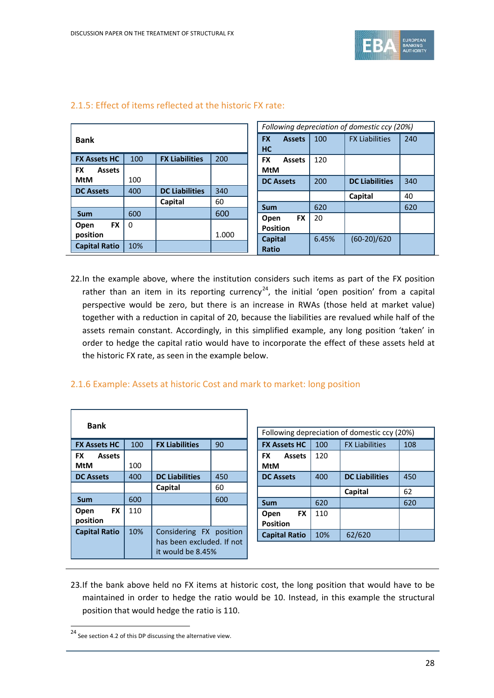

|                            |          |                       |       |                            |       | Following depreciation of domestic ccy (20%) |     |
|----------------------------|----------|-----------------------|-------|----------------------------|-------|----------------------------------------------|-----|
| <b>Bank</b>                |          |                       |       | <b>FX</b><br><b>Assets</b> | 100   | <b>FX Liabilities</b>                        | 240 |
|                            |          |                       |       | HC                         |       |                                              |     |
| <b>FX Assets HC</b>        | 100      | <b>FX Liabilities</b> | 200   | <b>FX</b><br><b>Assets</b> | 120   |                                              |     |
| <b>FX</b><br><b>Assets</b> |          |                       |       | MtM                        |       |                                              |     |
| <b>MtM</b>                 | 100      |                       |       | <b>DC Assets</b>           | 200   | <b>DC Liabilities</b>                        | 340 |
| <b>DC Assets</b>           | 400      | <b>DC Liabilities</b> | 340   |                            |       |                                              | 40  |
|                            |          | Capital               | 60    |                            |       | Capital                                      |     |
| <b>Sum</b>                 | 600      |                       | 600   | <b>Sum</b>                 | 620   |                                              | 620 |
|                            |          |                       |       | <b>FX</b><br>Open          | 20    |                                              |     |
| <b>FX</b><br>Open          | $\Omega$ |                       |       | <b>Position</b>            |       |                                              |     |
| position                   |          |                       | 1.000 | <b>Capital</b>             | 6.45% | $(60-20)/620$                                |     |
| <b>Capital Ratio</b>       | 10%      |                       |       | <b>Ratio</b>               |       |                                              |     |

### 2.1.5: Effect of items reflected at the historic FX rate:

22.In the example above, where the institution considers such items as part of the FX position rather than an item in its reporting currency<sup>[24](#page-27-0)</sup>, the initial 'open position' from a capital perspective would be zero, but there is an increase in RWAs (those held at market value) together with a reduction in capital of 20, because the liabilities are revalued while half of the assets remain constant. Accordingly, in this simplified example, any long position 'taken' in order to hedge the capital ratio would have to incorporate the effect of these assets held at the historic FX rate, as seen in the example below.

### 2.1.6 Example: Assets at historic Cost and mark to market: long position

| Bank                          |     |                                                                           |     |  |
|-------------------------------|-----|---------------------------------------------------------------------------|-----|--|
| <b>FX Assets HC</b>           | 100 | <b>FX Liabilities</b>                                                     | 90  |  |
| <b>FX</b> Assets<br>MtM       | 100 |                                                                           |     |  |
| <b>DC Assets</b>              | 400 | <b>DC Liabilities</b>                                                     | 450 |  |
|                               |     | Capital                                                                   | 60  |  |
| Sum                           | 600 |                                                                           | 600 |  |
| <b>FX</b><br>Open<br>position | 110 |                                                                           |     |  |
| <b>Capital Ratio</b>          | 10% | Considering FX position<br>has been excluded. If not<br>it would be 8.45% |     |  |

| Following depreciation of domestic ccy (20%) |     |                       |     |  |  |
|----------------------------------------------|-----|-----------------------|-----|--|--|
| <b>FX Assets HC</b>                          | 100 | <b>FX Liabilities</b> | 108 |  |  |
| <b>FX</b><br><b>Assets</b><br>MtM            | 120 |                       |     |  |  |
| <b>DC Assets</b>                             | 400 | <b>DC Liabilities</b> | 450 |  |  |
|                                              |     | Capital               | 62  |  |  |
| <b>Sum</b>                                   | 620 |                       | 620 |  |  |
| FX<br>Open<br><b>Position</b>                | 110 |                       |     |  |  |
| <b>Capital Ratio</b>                         | 10% | 62/620                |     |  |  |

23.If the bank above held no FX items at historic cost, the long position that would have to be maintained in order to hedge the ratio would be 10. Instead, in this example the structural position that would hedge the ratio is 110.

<span id="page-27-0"></span><sup>24</sup> See section 4.2 of this DP discussing the alternative view.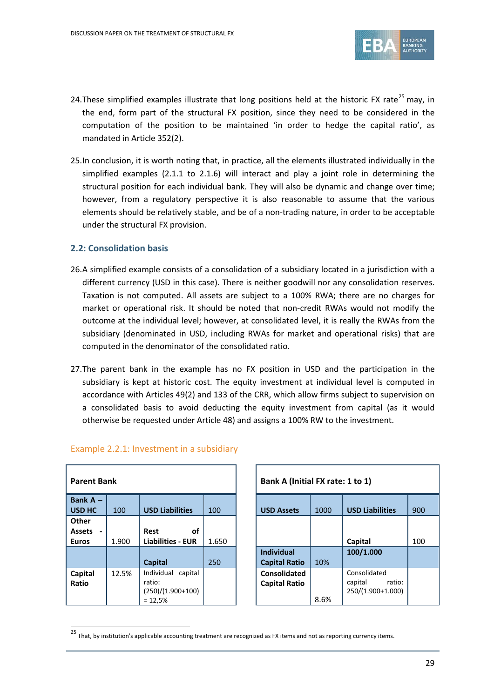

- 24. These simplified examples illustrate that long positions held at the historic FX rate<sup>[25](#page-28-0)</sup> may, in the end, form part of the structural FX position, since they need to be considered in the computation of the position to be maintained 'in order to hedge the capital ratio', as mandated in Article 352(2).
- 25.In conclusion, it is worth noting that, in practice, all the elements illustrated individually in the simplified examples (2.1.1 to 2.1.6) will interact and play a joint role in determining the structural position for each individual bank. They will also be dynamic and change over time; however, from a regulatory perspective it is also reasonable to assume that the various elements should be relatively stable, and be of a non-trading nature, in order to be acceptable under the structural FX provision.

### **2.2: Consolidation basis**

- 26.A simplified example consists of a consolidation of a subsidiary located in a jurisdiction with a different currency (USD in this case). There is neither goodwill nor any consolidation reserves. Taxation is not computed. All assets are subject to a 100% RWA; there are no charges for market or operational risk. It should be noted that non-credit RWAs would not modify the outcome at the individual level; however, at consolidated level, it is really the RWAs from the subsidiary (denominated in USD, including RWAs for market and operational risks) that are computed in the denominator of the consolidated ratio.
- 27.The parent bank in the example has no FX position in USD and the participation in the subsidiary is kept at historic cost. The equity investment at individual level is computed in accordance with Articles 49(2) and 133 of the CRR, which allow firms subject to supervision on a consolidated basis to avoid deducting the equity investment from capital (as it would otherwise be requested under Article 48) and assigns a 100% RW to the investment.

| <b>Parent Bank</b>          |       |                          | Bank A (Initial FX rate: 1 to 1) |                      |      |                |
|-----------------------------|-------|--------------------------|----------------------------------|----------------------|------|----------------|
| Bank $A -$<br><b>USD HC</b> | 100   | <b>USD Liabilities</b>   | 100                              | <b>USD Assets</b>    | 1000 | <b>USD Lia</b> |
| <b>Other</b>                |       |                          |                                  |                      |      |                |
| <b>Assets</b>               |       | <b>Rest</b><br>οf        |                                  |                      |      |                |
| <b>Euros</b>                | 1.900 | <b>Liabilities - EUR</b> | 1.650                            |                      |      | Capital        |
|                             |       |                          |                                  | <b>Individual</b>    |      | 100/1.0        |
|                             |       | Capital                  | 250                              | <b>Capital Ratio</b> | 10%  |                |
| Capital                     | 12.5% | Individual<br>capital    |                                  | <b>Consolidated</b>  |      | Consolio       |
| Ratio                       |       | ratio:                   |                                  | <b>Capital Ratio</b> |      | capital        |
|                             |       | $(250)/(1.900+100)$      |                                  |                      |      | 250/(1.9       |
|                             |       | $= 12,5%$                |                                  |                      | 8.6% |                |

| Example 2.2.1: Investment in a subsidiary |
|-------------------------------------------|
|-------------------------------------------|

| Parent Bank                                                 |       |                                                                     | Bank A (Initial FX rate: 1 to 1) |                                           |      |                                                        |     |
|-------------------------------------------------------------|-------|---------------------------------------------------------------------|----------------------------------|-------------------------------------------|------|--------------------------------------------------------|-----|
| Bank A -<br><b>USD HC</b>                                   | 100   | <b>USD Liabilities</b>                                              | 100                              | <b>USD Assets</b>                         | 1000 | <b>USD Liabilities</b>                                 | 900 |
| Other<br>Assets<br>$\overline{\phantom{0}}$<br><b>Euros</b> | 1.900 | οf<br>Rest<br><b>Liabilities - EUR</b>                              | 1.650                            |                                           |      | Capital                                                | 100 |
|                                                             |       | Capital                                                             | 250                              | <b>Individual</b><br><b>Capital Ratio</b> | 10%  | 100/1.000                                              |     |
| Capital<br>Ratio                                            | 12.5% | Individual<br>capital<br>ratio:<br>$(250)/(1.900+100)$<br>$= 12,5%$ |                                  | Consolidated<br><b>Capital Ratio</b>      | 8.6% | Consolidated<br>ratio:<br>capital<br>250/(1.900+1.000) |     |

<span id="page-28-0"></span><sup>25</sup> That, by institution's applicable accounting treatment are recognized as FX items and not as reporting currency items.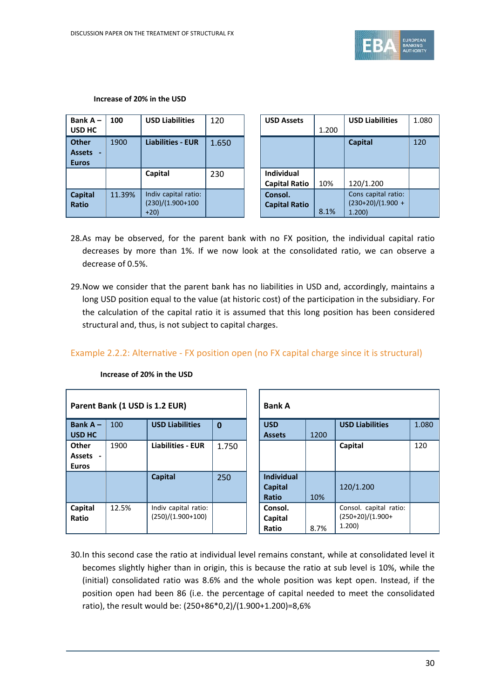**Increase of 20% in the USD**



**USD Liabilities** 1.080

| Bank $A -$<br>USD HC                          | 100    | <b>USD Liabilities</b>                               | 120   | <b>USD Assets</b>                        |
|-----------------------------------------------|--------|------------------------------------------------------|-------|------------------------------------------|
| <b>Other</b><br><b>Assets</b><br><b>Euros</b> | 1900   | <b>Liabilities - EUR</b>                             | 1.650 |                                          |
|                                               |        | Capital                                              | 230   | <b>Individual</b><br><b>Capital Rati</b> |
| <b>Capital</b><br>Ratio                       | 11.39% | Indiv capital ratio:<br>$(230)/(1.900+100$<br>$+20)$ |       | Consol.<br><b>Capital Rati</b>           |

| 100    | <b>USD Liabilities</b>   | 120   | <b>USD Assets</b>    |       | <b>USD Liabilities</b> | 1.080 |
|--------|--------------------------|-------|----------------------|-------|------------------------|-------|
|        |                          |       |                      | 1.200 |                        |       |
| 1900   | <b>Liabilities - EUR</b> | 1.650 |                      |       | <b>Capital</b>         | 120   |
|        |                          |       |                      |       |                        |       |
|        |                          |       |                      |       |                        |       |
|        | Capital                  | 230   | <b>Individual</b>    |       |                        |       |
|        |                          |       | <b>Capital Ratio</b> | 10%   | 120/1.200              |       |
| 11.39% | Indiv capital ratio:     |       | Consol.              |       | Cons capital ratio:    |       |
|        | $(230)/(1.900+100)$      |       | <b>Capital Ratio</b> |       | $(230+20)/(1.900 +$    |       |
|        | $+20)$                   |       |                      | 8.1%  | 1.200                  |       |

- 28.As may be observed, for the parent bank with no FX position, the individual capital ratio decreases by more than 1%. If we now look at the consolidated ratio, we can observe a decrease of 0.5%.
- 29.Now we consider that the parent bank has no liabilities in USD and, accordingly, maintains a long USD position equal to the value (at historic cost) of the participation in the subsidiary. For the calculation of the capital ratio it is assumed that this long position has been considered structural and, thus, is not subject to capital charges.

## Example 2.2.2: Alternative - FX position open (no FX capital charge since it is structural)

|                                   |       | Parent Bank (1 USD is 1.2 EUR)              |             | <b>Bank A</b>                                |      |                                                       |
|-----------------------------------|-------|---------------------------------------------|-------------|----------------------------------------------|------|-------------------------------------------------------|
| Bank $A -$<br>USD HC              | 100   | <b>USD Liabilities</b>                      | $\mathbf 0$ | <b>USD</b><br><b>Assets</b>                  | 1200 | <b>USD Liabilities</b>                                |
| Other<br>Assets -<br><b>Euros</b> | 1900  | <b>Liabilities - EUR</b>                    | 1.750       |                                              |      | Capital                                               |
|                                   |       | <b>Capital</b>                              | 250         | <b>Individual</b><br><b>Capital</b><br>Ratio | 10%  | 120/1.200                                             |
| Capital<br>Ratio                  | 12.5% | Indiv capital ratio:<br>$(250)/(1.900+100)$ |             | Consol.<br>Capital<br>Ratio                  | 8.7% | Consol. capital ratio:<br>$(250+20)/(1.900+$<br>1.200 |

| Increase of 20% in the USD |  |  |  |
|----------------------------|--|--|--|
|                            |  |  |  |

30.In this second case the ratio at individual level remains constant, while at consolidated level it becomes slightly higher than in origin, this is because the ratio at sub level is 10%, while the (initial) consolidated ratio was 8.6% and the whole position was kept open. Instead, if the position open had been 86 (i.e. the percentage of capital needed to meet the consolidated ratio), the result would be: (250+86\*0,2)/(1.900+1.200)=8,6%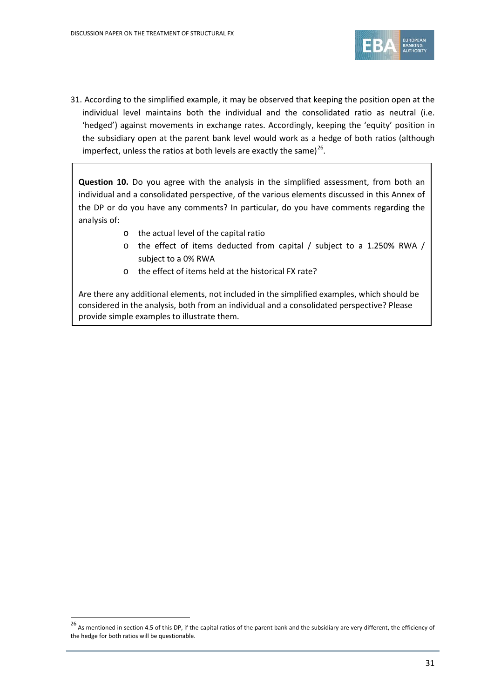

31. According to the simplified example, it may be observed that keeping the position open at the individual level maintains both the individual and the consolidated ratio as neutral (i.e. 'hedged') against movements in exchange rates. Accordingly, keeping the 'equity' position in the subsidiary open at the parent bank level would work as a hedge of both ratios (although imperfect, unless the ratios at both levels are exactly the same) $^{26}$ .

**Question 10.** Do you agree with the analysis in the simplified assessment, from both an individual and a consolidated perspective, of the various elements discussed in this Annex of the DP or do you have any comments? In particular, do you have comments regarding the analysis of:

- o the actual level of the capital ratio
- o the effect of items deducted from capital / subject to a 1.250% RWA / subject to a 0% RWA
- o the effect of items held at the historical FX rate?

Are there any additional elements, not included in the simplified examples, which should be considered in the analysis, both from an individual and a consolidated perspective? Please provide simple examples to illustrate them.

<span id="page-30-0"></span> $^{26}$  As mentioned in section 4.5 of this DP, if the capital ratios of the parent bank and the subsidiary are very different, the efficiency of the hedge for both ratios will be questionable.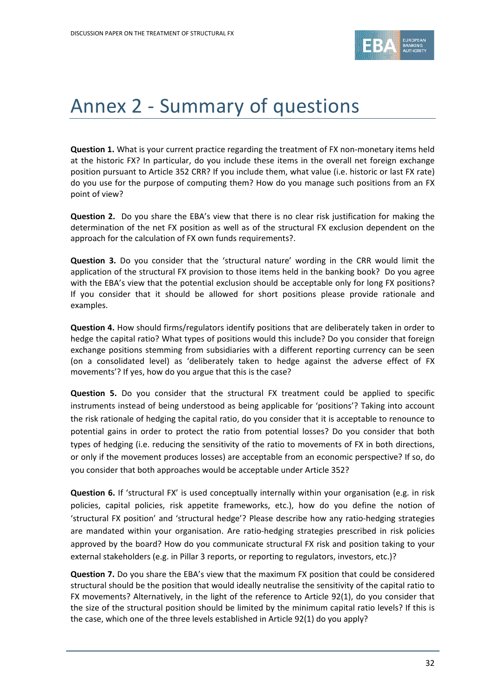

# Annex 2 - Summary of questions

**Question 1.** What is your current practice regarding the treatment of FX non-monetary items held at the historic FX? In particular, do you include these items in the overall net foreign exchange position pursuant to Article 352 CRR? If you include them, what value (i.e. historic or last FX rate) do you use for the purpose of computing them? How do you manage such positions from an FX point of view?

**Question 2.** Do you share the EBA's view that there is no clear risk justification for making the determination of the net FX position as well as of the structural FX exclusion dependent on the approach for the calculation of FX own funds requirements?.

**Question 3.** Do you consider that the 'structural nature' wording in the CRR would limit the application of the structural FX provision to those items held in the banking book? Do you agree with the EBA's view that the potential exclusion should be acceptable only for long FX positions? If you consider that it should be allowed for short positions please provide rationale and examples.

**Question 4.** How should firms/regulators identify positions that are deliberately taken in order to hedge the capital ratio? What types of positions would this include? Do you consider that foreign exchange positions stemming from subsidiaries with a different reporting currency can be seen (on a consolidated level) as 'deliberately taken to hedge against the adverse effect of FX movements'? If yes, how do you argue that this is the case?

**Question 5.** Do you consider that the structural FX treatment could be applied to specific instruments instead of being understood as being applicable for 'positions'? Taking into account the risk rationale of hedging the capital ratio, do you consider that it is acceptable to renounce to potential gains in order to protect the ratio from potential losses? Do you consider that both types of hedging (i.e. reducing the sensitivity of the ratio to movements of FX in both directions, or only if the movement produces losses) are acceptable from an economic perspective? If so, do you consider that both approaches would be acceptable under Article 352?

**Question 6.** If 'structural FX' is used conceptually internally within your organisation (e.g. in risk policies, capital policies, risk appetite frameworks, etc.), how do you define the notion of 'structural FX position' and 'structural hedge'? Please describe how any ratio-hedging strategies are mandated within your organisation. Are ratio-hedging strategies prescribed in risk policies approved by the board? How do you communicate structural FX risk and position taking to your external stakeholders (e.g. in Pillar 3 reports, or reporting to regulators, investors, etc.)?

**Question 7.** Do you share the EBA's view that the maximum FX position that could be considered structural should be the position that would ideally neutralise the sensitivity of the capital ratio to FX movements? Alternatively, in the light of the reference to Article 92(1), do you consider that the size of the structural position should be limited by the minimum capital ratio levels? If this is the case, which one of the three levels established in Article 92(1) do you apply?